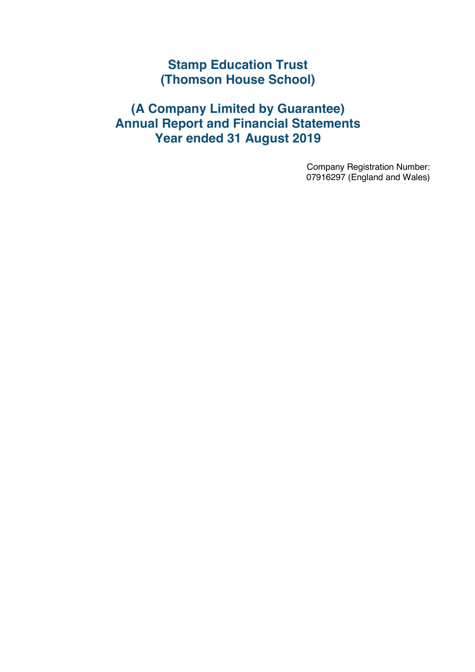### **(A Company Limited by Guarantee) Annual Report and Financial Statements Year ended 31 August 2019**

Company Registration Number: 07916297 (England and Wales)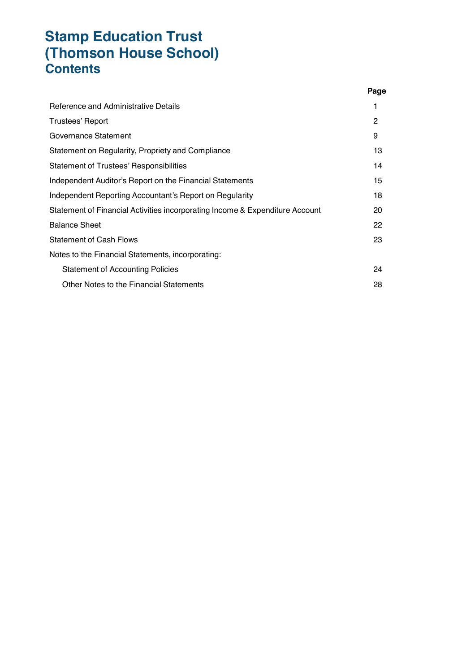|                                                                              | Page          |
|------------------------------------------------------------------------------|---------------|
| Reference and Administrative Details                                         | 1             |
| Trustees' Report                                                             | $\mathcal{P}$ |
| Governance Statement                                                         | 9             |
| Statement on Regularity, Propriety and Compliance                            | 13            |
| Statement of Trustees' Responsibilities                                      | 14            |
| Independent Auditor's Report on the Financial Statements                     | 15            |
| Independent Reporting Accountant's Report on Regularity                      | 18            |
| Statement of Financial Activities incorporating Income & Expenditure Account | 20            |
| <b>Balance Sheet</b>                                                         | 22            |
| <b>Statement of Cash Flows</b>                                               | 23            |
| Notes to the Financial Statements, incorporating:                            |               |
| <b>Statement of Accounting Policies</b>                                      | 24            |
| Other Notes to the Financial Statements                                      | 28            |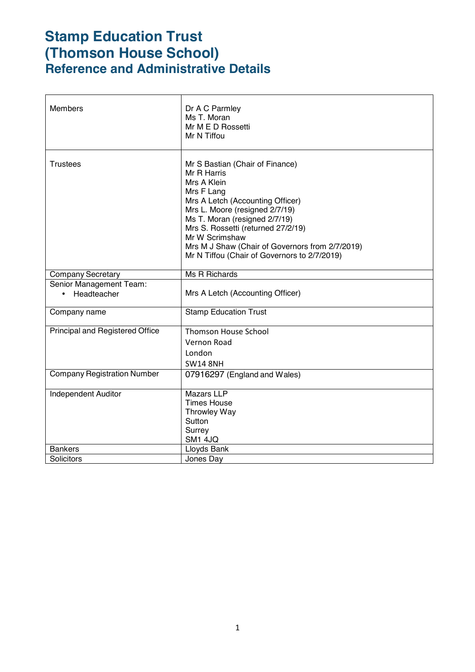# **Stamp Education Trust (Thomson House School) Reference and Administrative Details**

| <b>Members</b>                                      | Dr A C Parmley<br>Ms T. Moran<br>Mr M E D Rossetti<br>Mr N Tiffou                                                                                                                                                                                                                                                                             |
|-----------------------------------------------------|-----------------------------------------------------------------------------------------------------------------------------------------------------------------------------------------------------------------------------------------------------------------------------------------------------------------------------------------------|
| <b>Trustees</b>                                     | Mr S Bastian (Chair of Finance)<br>Mr R Harris<br>Mrs A Klein<br>Mrs F Lang<br>Mrs A Letch (Accounting Officer)<br>Mrs L. Moore (resigned 2/7/19)<br>Ms T. Moran (resigned 2/7/19)<br>Mrs S. Rossetti (returned 27/2/19)<br>Mr W Scrimshaw<br>Mrs M J Shaw (Chair of Governors from 2/7/2019)<br>Mr N Tiffou (Chair of Governors to 2/7/2019) |
| <b>Company Secretary</b>                            | Ms R Richards                                                                                                                                                                                                                                                                                                                                 |
| Senior Management Team:<br>Headteacher<br>$\bullet$ | Mrs A Letch (Accounting Officer)                                                                                                                                                                                                                                                                                                              |
| Company name                                        | <b>Stamp Education Trust</b>                                                                                                                                                                                                                                                                                                                  |
| Principal and Registered Office                     | <b>Thomson House School</b><br><b>Vernon Road</b><br>London<br><b>SW14 8NH</b>                                                                                                                                                                                                                                                                |
| <b>Company Registration Number</b>                  | 07916297 (England and Wales)                                                                                                                                                                                                                                                                                                                  |
| <b>Independent Auditor</b>                          | <b>Mazars LLP</b><br><b>Times House</b><br><b>Throwley Way</b><br>Sutton<br>Surrey<br>SM1 4JQ                                                                                                                                                                                                                                                 |
| <b>Bankers</b>                                      | Lloyds Bank                                                                                                                                                                                                                                                                                                                                   |
| Solicitors                                          | Jones Day                                                                                                                                                                                                                                                                                                                                     |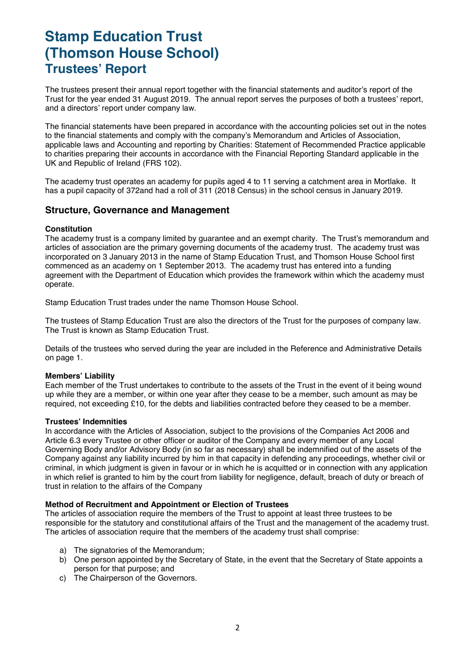# **Stamp Education Trust (Thomson House School) Trustees' Report**

The trustees present their annual report together with the financial statements and auditor's report of the Trust for the year ended 31 August 2019. The annual report serves the purposes of both a trustees' report, and a directors' report under company law.

The financial statements have been prepared in accordance with the accounting policies set out in the notes to the financial statements and comply with the company's Memorandum and Articles of Association, applicable laws and Accounting and reporting by Charities: Statement of Recommended Practice applicable to charities preparing their accounts in accordance with the Financial Reporting Standard applicable in the UK and Republic of Ireland (FRS 102).

The academy trust operates an academy for pupils aged 4 to 11 serving a catchment area in Mortlake. It has a pupil capacity of 372and had a roll of 311 (2018 Census) in the school census in January 2019.

### **Structure, Governance and Management**

#### **Constitution**

The academy trust is a company limited by guarantee and an exempt charity. The Trust's memorandum and articles of association are the primary governing documents of the academy trust. The academy trust was incorporated on 3 January 2013 in the name of Stamp Education Trust, and Thomson House School first commenced as an academy on 1 September 2013. The academy trust has entered into a funding agreement with the Department of Education which provides the framework within which the academy must operate.

Stamp Education Trust trades under the name Thomson House School.

The trustees of Stamp Education Trust are also the directors of the Trust for the purposes of company law. The Trust is known as Stamp Education Trust.

Details of the trustees who served during the year are included in the Reference and Administrative Details on page 1.

#### **Members' Liability**

Each member of the Trust undertakes to contribute to the assets of the Trust in the event of it being wound up while they are a member, or within one year after they cease to be a member, such amount as may be required, not exceeding £10, for the debts and liabilities contracted before they ceased to be a member.

#### **Trustees' Indemnities**

In accordance with the Articles of Association, subject to the provisions of the Companies Act 2006 and Article 6.3 every Trustee or other officer or auditor of the Company and every member of any Local Governing Body and/or Advisory Body (in so far as necessary) shall be indemnified out of the assets of the Company against any liability incurred by him in that capacity in defending any proceedings, whether civil or criminal, in which judgment is given in favour or in which he is acquitted or in connection with any application in which relief is granted to him by the court from liability for negligence, default, breach of duty or breach of trust in relation to the affairs of the Company

#### **Method of Recruitment and Appointment or Election of Trustees**

The articles of association require the members of the Trust to appoint at least three trustees to be responsible for the statutory and constitutional affairs of the Trust and the management of the academy trust. The articles of association require that the members of the academy trust shall comprise:

- a) The signatories of the Memorandum;
- b) One person appointed by the Secretary of State, in the event that the Secretary of State appoints a person for that purpose; and
- c) The Chairperson of the Governors.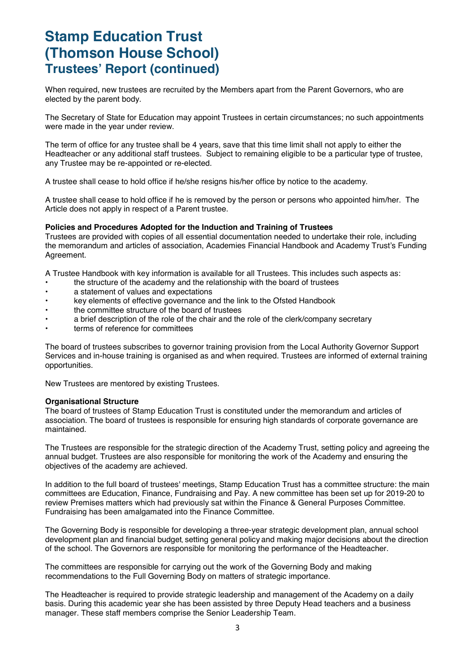### **Stamp Education Trust (Thomson House School) Trustees' Report (continued)**

When required, new trustees are recruited by the Members apart from the Parent Governors, who are elected by the parent body.

The Secretary of State for Education may appoint Trustees in certain circumstances; no such appointments were made in the year under review.

The term of office for any trustee shall be 4 years, save that this time limit shall not apply to either the Headteacher or any additional staff trustees. Subject to remaining eligible to be a particular type of trustee, any Trustee may be re-appointed or re-elected.

A trustee shall cease to hold office if he/she resigns his/her office by notice to the academy.

A trustee shall cease to hold office if he is removed by the person or persons who appointed him/her. The Article does not apply in respect of a Parent trustee.

#### **Policies and Procedures Adopted for the Induction and Training of Trustees**

Trustees are provided with copies of all essential documentation needed to undertake their role, including the memorandum and articles of association, Academies Financial Handbook and Academy Trust's Funding Agreement.

A Trustee Handbook with key information is available for all Trustees. This includes such aspects as:

- the structure of the academy and the relationship with the board of trustees
- a statement of values and expectations
- key elements of effective governance and the link to the Ofsted Handbook
- the committee structure of the board of trustees
- a brief description of the role of the chair and the role of the clerk/company secretary
- terms of reference for committees

The board of trustees subscribes to governor training provision from the Local Authority Governor Support Services and in-house training is organised as and when required. Trustees are informed of external training opportunities.

New Trustees are mentored by existing Trustees.

#### **Organisational Structure**

The board of trustees of Stamp Education Trust is constituted under the memorandum and articles of association. The board of trustees is responsible for ensuring high standards of corporate governance are maintained.

The Trustees are responsible for the strategic direction of the Academy Trust, setting policy and agreeing the annual budget. Trustees are also responsible for monitoring the work of the Academy and ensuring the objectives of the academy are achieved.

In addition to the full board of trustees' meetings, Stamp Education Trust has a committee structure: the main committees are Education, Finance, Fundraising and Pay. A new committee has been set up for 2019-20 to review Premises matters which had previously sat within the Finance & General Purposes Committee. Fundraising has been amalgamated into the Finance Committee.

The Governing Body is responsible for developing a three-year strategic development plan, annual school development plan and financial budget, setting general policy and making major decisions about the direction of the school. The Governors are responsible for monitoring the performance of the Headteacher.

The committees are responsible for carrying out the work of the Governing Body and making recommendations to the Full Governing Body on matters of strategic importance.

The Headteacher is required to provide strategic leadership and management of the Academy on a daily basis. During this academic year she has been assisted by three Deputy Head teachers and a business manager. These staff members comprise the Senior Leadership Team.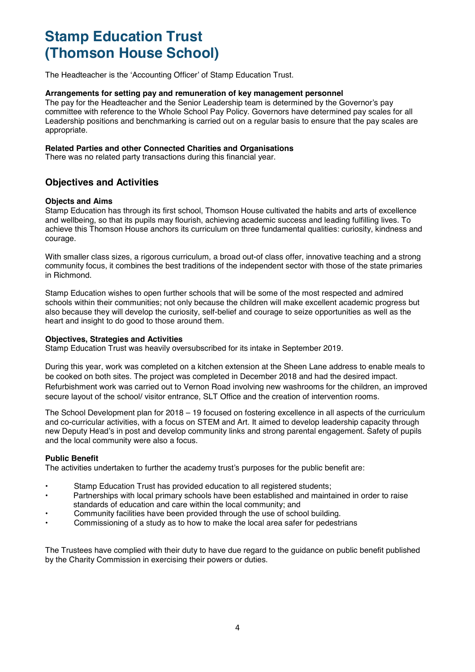The Headteacher is the 'Accounting Officer' of Stamp Education Trust.

#### **Arrangements for setting pay and remuneration of key management personnel**

The pay for the Headteacher and the Senior Leadership team is determined by the Governor's pay committee with reference to the Whole School Pay Policy. Governors have determined pay scales for all Leadership positions and benchmarking is carried out on a regular basis to ensure that the pay scales are appropriate.

#### **Related Parties and other Connected Charities and Organisations**

There was no related party transactions during this financial year.

### **Objectives and Activities**

#### **Objects and Aims**

Stamp Education has through its first school, Thomson House cultivated the habits and arts of excellence and wellbeing, so that its pupils may flourish, achieving academic success and leading fulfilling lives. To achieve this Thomson House anchors its curriculum on three fundamental qualities: curiosity, kindness and courage.

With smaller class sizes, a rigorous curriculum, a broad out-of class offer, innovative teaching and a strong community focus, it combines the best traditions of the independent sector with those of the state primaries in Richmond.

Stamp Education wishes to open further schools that will be some of the most respected and admired schools within their communities; not only because the children will make excellent academic progress but also because they will develop the curiosity, self-belief and courage to seize opportunities as well as the heart and insight to do good to those around them.

#### **Objectives, Strategies and Activities**

Stamp Education Trust was heavily oversubscribed for its intake in September 2019.

During this year, work was completed on a kitchen extension at the Sheen Lane address to enable meals to be cooked on both sites. The project was completed in December 2018 and had the desired impact. Refurbishment work was carried out to Vernon Road involving new washrooms for the children, an improved secure layout of the school/ visitor entrance, SLT Office and the creation of intervention rooms.

The School Development plan for 2018 – 19 focused on fostering excellence in all aspects of the curriculum and co-curricular activities, with a focus on STEM and Art. It aimed to develop leadership capacity through new Deputy Head's in post and develop community links and strong parental engagement. Safety of pupils and the local community were also a focus.

#### **Public Benefit**

The activities undertaken to further the academy trust's purposes for the public benefit are:

- Stamp Education Trust has provided education to all registered students:
- Partnerships with local primary schools have been established and maintained in order to raise standards of education and care within the local community; and
- Community facilities have been provided through the use of school building.
- Commissioning of a study as to how to make the local area safer for pedestrians

The Trustees have complied with their duty to have due regard to the guidance on public benefit published by the Charity Commission in exercising their powers or duties.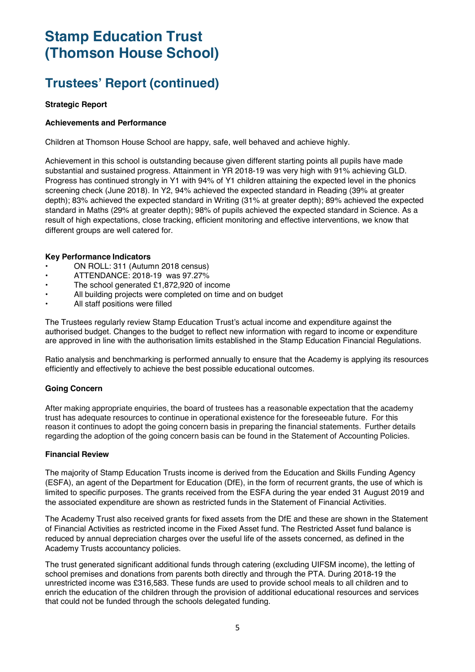### **Trustees' Report (continued)**

#### **Strategic Report**

#### **Achievements and Performance**

Children at Thomson House School are happy, safe, well behaved and achieve highly.

Achievement in this school is outstanding because given different starting points all pupils have made substantial and sustained progress. Attainment in YR 2018-19 was very high with 91% achieving GLD. Progress has continued strongly in Y1 with 94% of Y1 children attaining the expected level in the phonics screening check (June 2018). In Y2, 94% achieved the expected standard in Reading (39% at greater depth); 83% achieved the expected standard in Writing (31% at greater depth); 89% achieved the expected standard in Maths (29% at greater depth); 98% of pupils achieved the expected standard in Science. As a result of high expectations, close tracking, efficient monitoring and effective interventions, we know that different groups are well catered for.

#### **Key Performance Indicators**

- ON ROLL: 311 (Autumn 2018 census)
- ATTENDANCE: 2018-19 was 97.27%
- The school generated £1,872,920 of income
- All building projects were completed on time and on budget
- All staff positions were filled

The Trustees regularly review Stamp Education Trust's actual income and expenditure against the authorised budget. Changes to the budget to reflect new information with regard to income or expenditure are approved in line with the authorisation limits established in the Stamp Education Financial Regulations.

Ratio analysis and benchmarking is performed annually to ensure that the Academy is applying its resources efficiently and effectively to achieve the best possible educational outcomes.

#### **Going Concern**

After making appropriate enquiries, the board of trustees has a reasonable expectation that the academy trust has adequate resources to continue in operational existence for the foreseeable future. For this reason it continues to adopt the going concern basis in preparing the financial statements. Further details regarding the adoption of the going concern basis can be found in the Statement of Accounting Policies.

#### **Financial Review**

The majority of Stamp Education Trusts income is derived from the Education and Skills Funding Agency (ESFA), an agent of the Department for Education (DfE), in the form of recurrent grants, the use of which is limited to specific purposes. The grants received from the ESFA during the year ended 31 August 2019 and the associated expenditure are shown as restricted funds in the Statement of Financial Activities.

The Academy Trust also received grants for fixed assets from the DfE and these are shown in the Statement of Financial Activities as restricted income in the Fixed Asset fund. The Restricted Asset fund balance is reduced by annual depreciation charges over the useful life of the assets concerned, as defined in the Academy Trusts accountancy policies.

The trust generated significant additional funds through catering (excluding UIFSM income), the letting of school premises and donations from parents both directly and through the PTA. During 2018-19 the unrestricted income was £316,583. These funds are used to provide school meals to all children and to enrich the education of the children through the provision of additional educational resources and services that could not be funded through the schools delegated funding.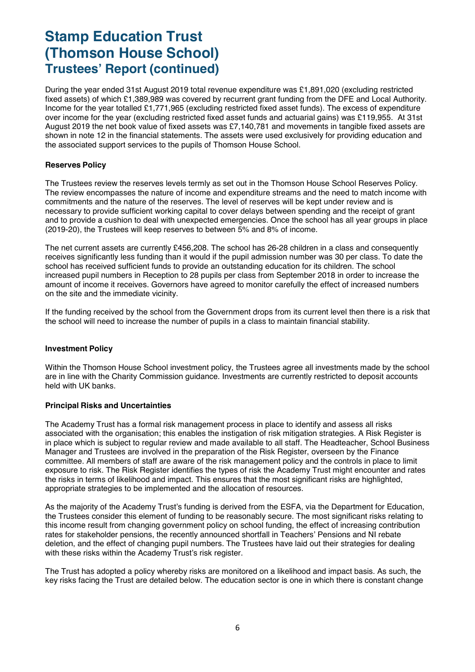### **Stamp Education Trust (Thomson House School) Trustees' Report (continued)**

During the year ended 31st August 2019 total revenue expenditure was £1,891,020 (excluding restricted fixed assets) of which £1,389,989 was covered by recurrent grant funding from the DFE and Local Authority. Income for the year totalled £1,771,965 (excluding restricted fixed asset funds). The excess of expenditure over income for the year (excluding restricted fixed asset funds and actuarial gains) was £119,955. At 31st August 2019 the net book value of fixed assets was £7,140,781 and movements in tangible fixed assets are shown in note 12 in the financial statements. The assets were used exclusively for providing education and the associated support services to the pupils of Thomson House School.

#### **Reserves Policy**

The Trustees review the reserves levels termly as set out in the Thomson House School Reserves Policy. The review encompasses the nature of income and expenditure streams and the need to match income with commitments and the nature of the reserves. The level of reserves will be kept under review and is necessary to provide sufficient working capital to cover delays between spending and the receipt of grant and to provide a cushion to deal with unexpected emergencies. Once the school has all year groups in place (2019-20), the Trustees will keep reserves to between 5% and 8% of income.

The net current assets are currently £456,208. The school has 26-28 children in a class and consequently receives significantly less funding than it would if the pupil admission number was 30 per class. To date the school has received sufficient funds to provide an outstanding education for its children. The school increased pupil numbers in Reception to 28 pupils per class from September 2018 in order to increase the amount of income it receives. Governors have agreed to monitor carefully the effect of increased numbers on the site and the immediate vicinity.

If the funding received by the school from the Government drops from its current level then there is a risk that the school will need to increase the number of pupils in a class to maintain financial stability.

#### **Investment Policy**

Within the Thomson House School investment policy, the Trustees agree all investments made by the school are in line with the Charity Commission guidance. Investments are currently restricted to deposit accounts held with UK banks.

#### **Principal Risks and Uncertainties**

The Academy Trust has a formal risk management process in place to identify and assess all risks associated with the organisation; this enables the instigation of risk mitigation strategies. A Risk Register is in place which is subject to regular review and made available to all staff. The Headteacher, School Business Manager and Trustees are involved in the preparation of the Risk Register, overseen by the Finance committee. All members of staff are aware of the risk management policy and the controls in place to limit exposure to risk. The Risk Register identifies the types of risk the Academy Trust might encounter and rates the risks in terms of likelihood and impact. This ensures that the most significant risks are highlighted, appropriate strategies to be implemented and the allocation of resources.

As the majority of the Academy Trust's funding is derived from the ESFA, via the Department for Education, the Trustees consider this element of funding to be reasonably secure. The most significant risks relating to this income result from changing government policy on school funding, the effect of increasing contribution rates for stakeholder pensions, the recently announced shortfall in Teachers' Pensions and NI rebate deletion, and the effect of changing pupil numbers. The Trustees have laid out their strategies for dealing with these risks within the Academy Trust's risk register.

The Trust has adopted a policy whereby risks are monitored on a likelihood and impact basis. As such, the key risks facing the Trust are detailed below. The education sector is one in which there is constant change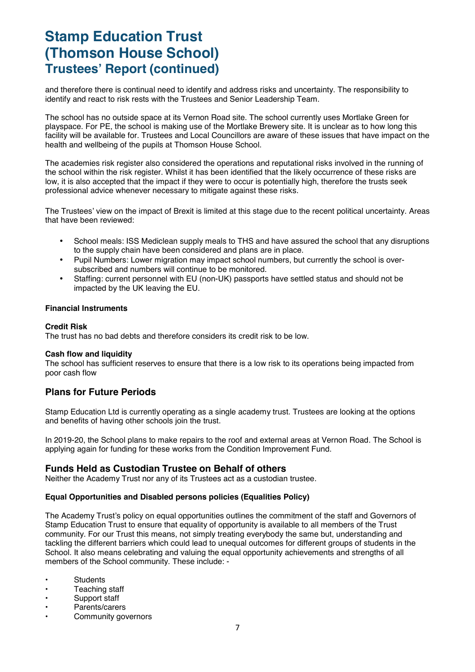### **Stamp Education Trust (Thomson House School) Trustees' Report (continued)**

and therefore there is continual need to identify and address risks and uncertainty. The responsibility to identify and react to risk rests with the Trustees and Senior Leadership Team.

The school has no outside space at its Vernon Road site. The school currently uses Mortlake Green for playspace. For PE, the school is making use of the Mortlake Brewery site. It is unclear as to how long this facility will be available for. Trustees and Local Councillors are aware of these issues that have impact on the health and wellbeing of the pupils at Thomson House School.

The academies risk register also considered the operations and reputational risks involved in the running of the school within the risk register. Whilst it has been identified that the likely occurrence of these risks are low, it is also accepted that the impact if they were to occur is potentially high, therefore the trusts seek professional advice whenever necessary to mitigate against these risks.

The Trustees' view on the impact of Brexit is limited at this stage due to the recent political uncertainty. Areas that have been reviewed:

- School meals: ISS Mediclean supply meals to THS and have assured the school that any disruptions to the supply chain have been considered and plans are in place.
- Pupil Numbers: Lower migration may impact school numbers, but currently the school is oversubscribed and numbers will continue to be monitored.
- Staffing: current personnel with EU (non-UK) passports have settled status and should not be impacted by the UK leaving the EU.

#### **Financial Instruments**

#### **Credit Risk**

The trust has no bad debts and therefore considers its credit risk to be low.

#### **Cash flow and liquidity**

The school has sufficient reserves to ensure that there is a low risk to its operations being impacted from poor cash flow

### **Plans for Future Periods**

Stamp Education Ltd is currently operating as a single academy trust. Trustees are looking at the options and benefits of having other schools join the trust.

In 2019-20, the School plans to make repairs to the roof and external areas at Vernon Road. The School is applying again for funding for these works from the Condition Improvement Fund.

#### **Funds Held as Custodian Trustee on Behalf of others**

Neither the Academy Trust nor any of its Trustees act as a custodian trustee.

#### **Equal Opportunities and Disabled persons policies (Equalities Policy)**

The Academy Trust's policy on equal opportunities outlines the commitment of the staff and Governors of Stamp Education Trust to ensure that equality of opportunity is available to all members of the Trust community. For our Trust this means, not simply treating everybody the same but, understanding and tackling the different barriers which could lead to unequal outcomes for different groups of students in the School. It also means celebrating and valuing the equal opportunity achievements and strengths of all members of the School community. These include: -

- **Students**
- Teaching staff
- Support staff
- Parents/carers
- Community governors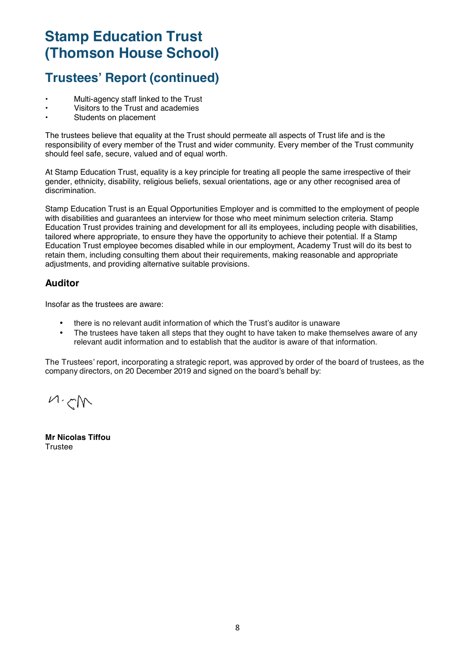### **Trustees' Report (continued)**

- Multi-agency staff linked to the Trust
- Visitors to the Trust and academies
- Students on placement

The trustees believe that equality at the Trust should permeate all aspects of Trust life and is the responsibility of every member of the Trust and wider community. Every member of the Trust community should feel safe, secure, valued and of equal worth.

At Stamp Education Trust, equality is a key principle for treating all people the same irrespective of their gender, ethnicity, disability, religious beliefs, sexual orientations, age or any other recognised area of discrimination.

Stamp Education Trust is an Equal Opportunities Employer and is committed to the employment of people with disabilities and guarantees an interview for those who meet minimum selection criteria. Stamp Education Trust provides training and development for all its employees, including people with disabilities, tailored where appropriate, to ensure they have the opportunity to achieve their potential. If a Stamp Education Trust employee becomes disabled while in our employment, Academy Trust will do its best to retain them, including consulting them about their requirements, making reasonable and appropriate adjustments, and providing alternative suitable provisions.

### **Auditor**

Insofar as the trustees are aware:

- there is no relevant audit information of which the Trust's auditor is unaware
- The trustees have taken all steps that they ought to have taken to make themselves aware of any relevant audit information and to establish that the auditor is aware of that information.

The Trustees' report, incorporating a strategic report, was approved by order of the board of trustees, as the company directors, on 20 December 2019 and signed on the board's behalf by:

 $M, N$ 

**Mr Nicolas Tiffou Trustee**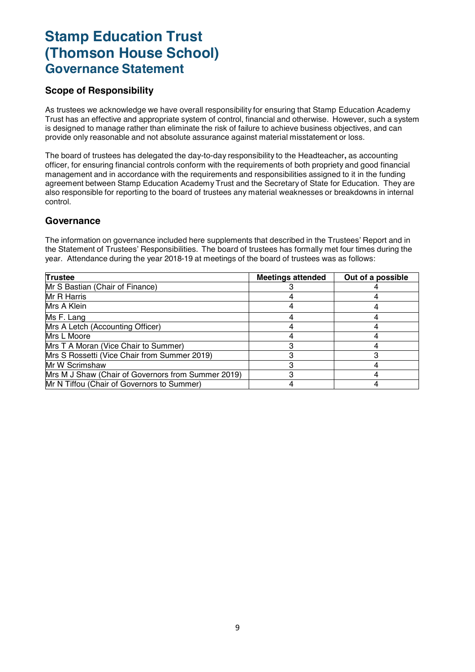### **Stamp Education Trust (Thomson House School) Governance Statement**

### **Scope of Responsibility**

As trustees we acknowledge we have overall responsibility for ensuring that Stamp Education Academy Trust has an effective and appropriate system of control, financial and otherwise. However, such a system is designed to manage rather than eliminate the risk of failure to achieve business objectives, and can provide only reasonable and not absolute assurance against material misstatement or loss.

The board of trustees has delegated the day-to-day responsibility to the Headteacher**,** as accounting officer, for ensuring financial controls conform with the requirements of both propriety and good financial management and in accordance with the requirements and responsibilities assigned to it in the funding agreement between Stamp Education Academy Trust and the Secretary of State for Education. They are also responsible for reporting to the board of trustees any material weaknesses or breakdowns in internal control.

### **Governance**

The information on governance included here supplements that described in the Trustees' Report and in the Statement of Trustees' Responsibilities. The board of trustees has formally met four times during the year. Attendance during the year 2018-19 at meetings of the board of trustees was as follows:

| <b>Trustee</b>                                     | <b>Meetings attended</b> | Out of a possible |
|----------------------------------------------------|--------------------------|-------------------|
| Mr S Bastian (Chair of Finance)                    |                          |                   |
| Mr R Harris                                        |                          |                   |
| Mrs A Klein                                        |                          |                   |
| Ms F. Lang                                         |                          |                   |
| Mrs A Letch (Accounting Officer)                   |                          |                   |
| Mrs L Moore                                        |                          |                   |
| Mrs T A Moran (Vice Chair to Summer)               |                          |                   |
| Mrs S Rossetti (Vice Chair from Summer 2019)       |                          |                   |
| Mr W Scrimshaw                                     |                          |                   |
| Mrs M J Shaw (Chair of Governors from Summer 2019) |                          |                   |
| Mr N Tiffou (Chair of Governors to Summer)         |                          |                   |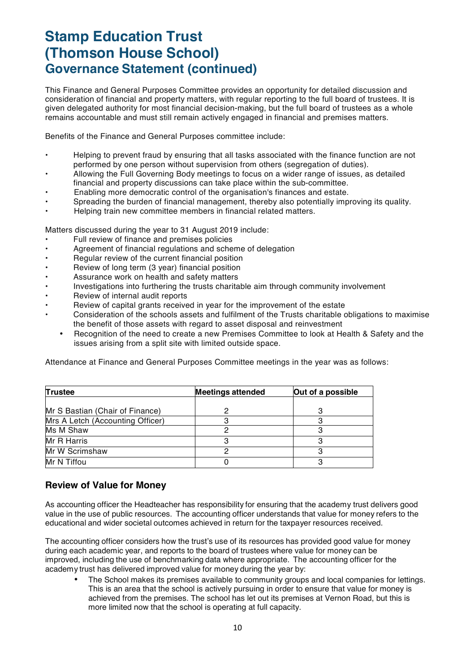# **Stamp Education Trust (Thomson House School) Governance Statement (continued)**

This Finance and General Purposes Committee provides an opportunity for detailed discussion and consideration of financial and property matters, with regular reporting to the full board of trustees. It is given delegated authority for most financial decision-making, but the full board of trustees as a whole remains accountable and must still remain actively engaged in financial and premises matters.

Benefits of the Finance and General Purposes committee include:

- Helping to prevent fraud by ensuring that all tasks associated with the finance function are not performed by one person without supervision from others (segregation of duties).
- Allowing the Full Governing Body meetings to focus on a wider range of issues, as detailed financial and property discussions can take place within the sub-committee.
- Enabling more democratic control of the organisation's finances and estate.
- Spreading the burden of financial management, thereby also potentially improving its quality.
- Helping train new committee members in financial related matters.

Matters discussed during the year to 31 August 2019 include:

- Full review of finance and premises policies
- Agreement of financial regulations and scheme of delegation
- Regular review of the current financial position
- Review of long term (3 year) financial position
- Assurance work on health and safety matters
- Investigations into furthering the trusts charitable aim through community involvement
- Review of internal audit reports
- Review of capital grants received in year for the improvement of the estate
- Consideration of the schools assets and fulfilment of the Trusts charitable obligations to maximise the benefit of those assets with regard to asset disposal and reinvestment
	- Recognition of the need to create a new Premises Committee to look at Health & Safety and the issues arising from a split site with limited outside space.

Attendance at Finance and General Purposes Committee meetings in the year was as follows:

| Trustee                          | <b>Meetings attended</b> | Out of a possible |
|----------------------------------|--------------------------|-------------------|
|                                  |                          |                   |
| Mr S Bastian (Chair of Finance)  |                          |                   |
| Mrs A Letch (Accounting Officer) |                          |                   |
| Ms M Shaw                        |                          |                   |
| Mr R Harris                      |                          |                   |
| Mr W Scrimshaw                   |                          |                   |
| Mr N Tiffou                      |                          |                   |

### **Review of Value for Money**

As accounting officer the Headteacher has responsibility for ensuring that the academy trust delivers good value in the use of public resources. The accounting officer understands that value for money refers to the educational and wider societal outcomes achieved in return for the taxpayer resources received.

The accounting officer considers how the trust's use of its resources has provided good value for money during each academic year, and reports to the board of trustees where value for money can be improved, including the use of benchmarking data where appropriate. The accounting officer for the academy trust has delivered improved value for money during the year by:

• The School makes its premises available to community groups and local companies for lettings. This is an area that the school is actively pursuing in order to ensure that value for money is achieved from the premises. The school has let out its premises at Vernon Road, but this is more limited now that the school is operating at full capacity.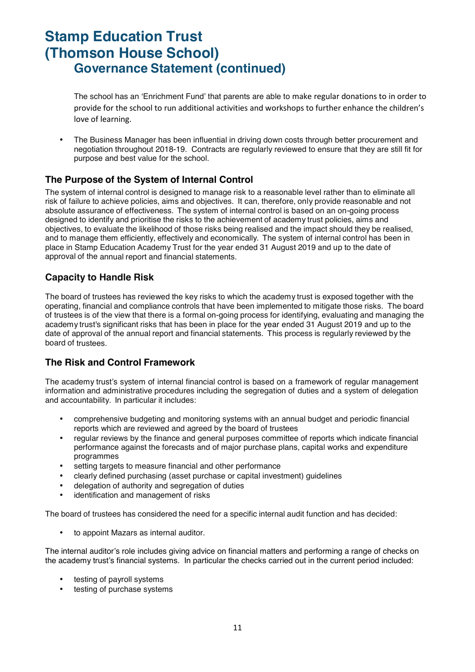## **Stamp Education Trust (Thomson House School) Governance Statement (continued)**

The school has an 'Enrichment Fund' that parents are able to make regular donations to in order to provide for the school to run additional activities and workshops to further enhance the children's love of learning.

• The Business Manager has been influential in driving down costs through better procurement and negotiation throughout 2018-19. Contracts are regularly reviewed to ensure that they are still fit for purpose and best value for the school.

### **The Purpose of the System of Internal Control**

The system of internal control is designed to manage risk to a reasonable level rather than to eliminate all risk of failure to achieve policies, aims and objectives. It can, therefore, only provide reasonable and not absolute assurance of effectiveness. The system of internal control is based on an on-going process designed to identify and prioritise the risks to the achievement of academy trust policies, aims and objectives, to evaluate the likelihood of those risks being realised and the impact should they be realised, and to manage them efficiently, effectively and economically. The system of internal control has been in place in Stamp Education Academy Trust for the year ended 31 August 2019 and up to the date of approval of the annual report and financial statements.

### **Capacity to Handle Risk**

The board of trustees has reviewed the key risks to which the academy trust is exposed together with the operating, financial and compliance controls that have been implemented to mitigate those risks. The board of trustees is of the view that there is a formal on-going process for identifying, evaluating and managing the academy trust's significant risks that has been in place for the year ended 31 August 2019 and up to the date of approval of the annual report and financial statements. This process is regularly reviewed by the board of trustees.

### **The Risk and Control Framework**

The academy trust's system of internal financial control is based on a framework of regular management information and administrative procedures including the segregation of duties and a system of delegation and accountability. In particular it includes:

- comprehensive budgeting and monitoring systems with an annual budget and periodic financial reports which are reviewed and agreed by the board of trustees
- regular reviews by the finance and general purposes committee of reports which indicate financial performance against the forecasts and of major purchase plans, capital works and expenditure programmes
- setting targets to measure financial and other performance
- clearly defined purchasing (asset purchase or capital investment) guidelines
- delegation of authority and segregation of duties
- identification and management of risks

The board of trustees has considered the need for a specific internal audit function and has decided:

• to appoint Mazars as internal auditor.

The internal auditor's role includes giving advice on financial matters and performing a range of checks on the academy trust's financial systems. In particular the checks carried out in the current period included:

- testing of payroll systems
- testing of purchase systems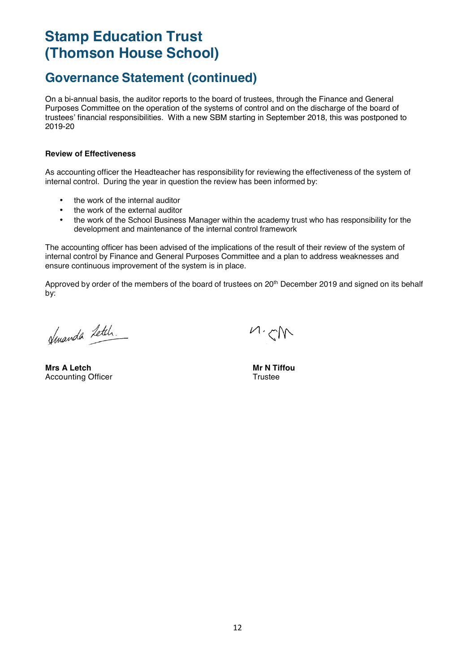### **Governance Statement (continued)**

On a bi-annual basis, the auditor reports to the board of trustees, through the Finance and General Purposes Committee on the operation of the systems of control and on the discharge of the board of trustees' financial responsibilities. With a new SBM starting in September 2018, this was postponed to 2019-20

#### **Review of Effectiveness**

As accounting officer the Headteacher has responsibility for reviewing the effectiveness of the system of internal control. During the year in question the review has been informed by:

- the work of the internal auditor
- the work of the external auditor
- the work of the School Business Manager within the academy trust who has responsibility for the development and maintenance of the internal control framework

The accounting officer has been advised of the implications of the result of their review of the system of internal control by Finance and General Purposes Committee and a plan to address weaknesses and ensure continuous improvement of the system is in place.

Approved by order of the members of the board of trustees on 20<sup>th</sup> December 2019 and signed on its behalf by:

Huanda Letch.

**Mrs A Letch Mrs A Letch** Mrs A Letch Mrs A Letch Mrs A Letch Mrs A Letch Mrs A Letch Mrs A Letch Mrs A Letch Mrs A Letch Mrs A Letch Mrs A Letch Mrs A Letch Mrs A Letch Mrs A Letch Mrs A Letch Mrs A Letch Mrs A Letch Mrs Accounting Officer Trustee

 $M, N$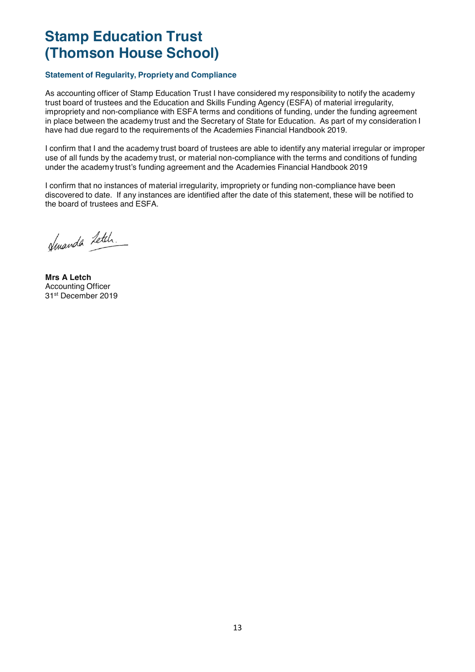### **Statement of Regularity, Propriety and Compliance**

As accounting officer of Stamp Education Trust I have considered my responsibility to notify the academy trust board of trustees and the Education and Skills Funding Agency (ESFA) of material irregularity, impropriety and non-compliance with ESFA terms and conditions of funding, under the funding agreement in place between the academy trust and the Secretary of State for Education. As part of my consideration I have had due regard to the requirements of the Academies Financial Handbook 2019.

I confirm that I and the academy trust board of trustees are able to identify any material irregular or improper use of all funds by the academy trust, or material non-compliance with the terms and conditions of funding under the academy trust's funding agreement and the Academies Financial Handbook 2019

I confirm that no instances of material irregularity, impropriety or funding non-compliance have been discovered to date. If any instances are identified after the date of this statement, these will be notified to the board of trustees and ESFA.

Hmanda Letch.

**Mrs A Letch**  Accounting Officer 31st December 2019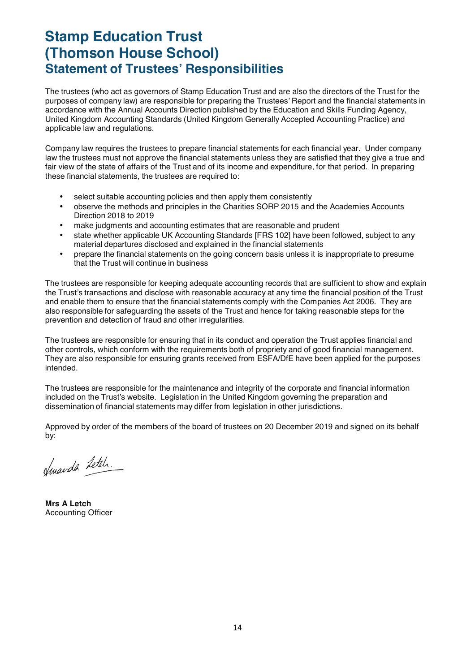### **Stamp Education Trust (Thomson House School) Statement of Trustees' Responsibilities**

The trustees (who act as governors of Stamp Education Trust and are also the directors of the Trust for the purposes of company law) are responsible for preparing the Trustees' Report and the financial statements in accordance with the Annual Accounts Direction published by the Education and Skills Funding Agency, United Kingdom Accounting Standards (United Kingdom Generally Accepted Accounting Practice) and applicable law and regulations.

Company law requires the trustees to prepare financial statements for each financial year. Under company law the trustees must not approve the financial statements unless they are satisfied that they give a true and fair view of the state of affairs of the Trust and of its income and expenditure, for that period. In preparing these financial statements, the trustees are required to:

- select suitable accounting policies and then apply them consistently
- observe the methods and principles in the Charities SORP 2015 and the Academies Accounts Direction 2018 to 2019
- make judgments and accounting estimates that are reasonable and prudent
- state whether applicable UK Accounting Standards [FRS 102] have been followed, subject to any material departures disclosed and explained in the financial statements
- prepare the financial statements on the going concern basis unless it is inappropriate to presume that the Trust will continue in business

The trustees are responsible for keeping adequate accounting records that are sufficient to show and explain the Trust's transactions and disclose with reasonable accuracy at any time the financial position of the Trust and enable them to ensure that the financial statements comply with the Companies Act 2006. They are also responsible for safeguarding the assets of the Trust and hence for taking reasonable steps for the prevention and detection of fraud and other irregularities.

The trustees are responsible for ensuring that in its conduct and operation the Trust applies financial and other controls, which conform with the requirements both of propriety and of good financial management. They are also responsible for ensuring grants received from ESFA/DfE have been applied for the purposes intended.

The trustees are responsible for the maintenance and integrity of the corporate and financial information included on the Trust's website. Legislation in the United Kingdom governing the preparation and dissemination of financial statements may differ from legislation in other jurisdictions.

Approved by order of the members of the board of trustees on 20 December 2019 and signed on its behalf by:

Jenanda Letch.

**Mrs A Letch**  Accounting Officer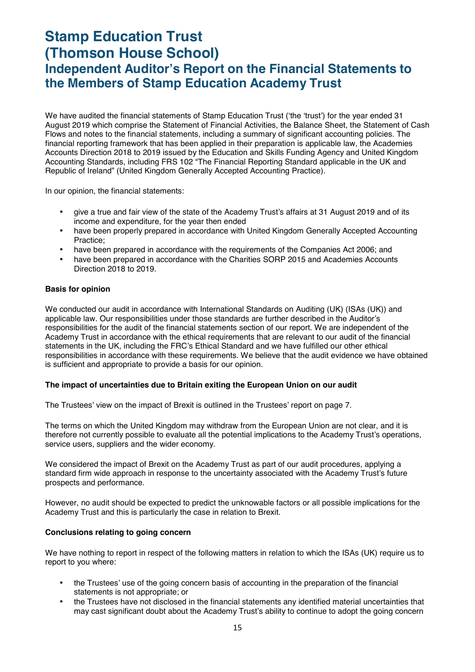### **Stamp Education Trust (Thomson House School) Independent Auditor's Report on the Financial Statements to the Members of Stamp Education Academy Trust**

We have audited the financial statements of Stamp Education Trust ('the 'trust') for the year ended 31 August 2019 which comprise the Statement of Financial Activities, the Balance Sheet, the Statement of Cash Flows and notes to the financial statements, including a summary of significant accounting policies. The financial reporting framework that has been applied in their preparation is applicable law, the Academies Accounts Direction 2018 to 2019 issued by the Education and Skills Funding Agency and United Kingdom Accounting Standards, including FRS 102 "The Financial Reporting Standard applicable in the UK and Republic of Ireland" (United Kingdom Generally Accepted Accounting Practice).

In our opinion, the financial statements:

- give a true and fair view of the state of the Academy Trust's affairs at 31 August 2019 and of its income and expenditure, for the year then ended
- have been properly prepared in accordance with United Kingdom Generally Accepted Accounting Practice;
- have been prepared in accordance with the requirements of the Companies Act 2006; and
- have been prepared in accordance with the Charities SORP 2015 and Academies Accounts Direction 2018 to 2019.

#### **Basis for opinion**

We conducted our audit in accordance with International Standards on Auditing (UK) (ISAs (UK)) and applicable law. Our responsibilities under those standards are further described in the Auditor's responsibilities for the audit of the financial statements section of our report. We are independent of the Academy Trust in accordance with the ethical requirements that are relevant to our audit of the financial statements in the UK, including the FRC's Ethical Standard and we have fulfilled our other ethical responsibilities in accordance with these requirements. We believe that the audit evidence we have obtained is sufficient and appropriate to provide a basis for our opinion.

#### **The impact of uncertainties due to Britain exiting the European Union on our audit**

The Trustees' view on the impact of Brexit is outlined in the Trustees' report on page 7.

The terms on which the United Kingdom may withdraw from the European Union are not clear, and it is therefore not currently possible to evaluate all the potential implications to the Academy Trust's operations, service users, suppliers and the wider economy.

We considered the impact of Brexit on the Academy Trust as part of our audit procedures, applying a standard firm wide approach in response to the uncertainty associated with the Academy Trust's future prospects and performance.

However, no audit should be expected to predict the unknowable factors or all possible implications for the Academy Trust and this is particularly the case in relation to Brexit.

#### **Conclusions relating to going concern**

We have nothing to report in respect of the following matters in relation to which the ISAs (UK) require us to report to you where:

- the Trustees' use of the going concern basis of accounting in the preparation of the financial statements is not appropriate; or
- the Trustees have not disclosed in the financial statements any identified material uncertainties that may cast significant doubt about the Academy Trust's ability to continue to adopt the going concern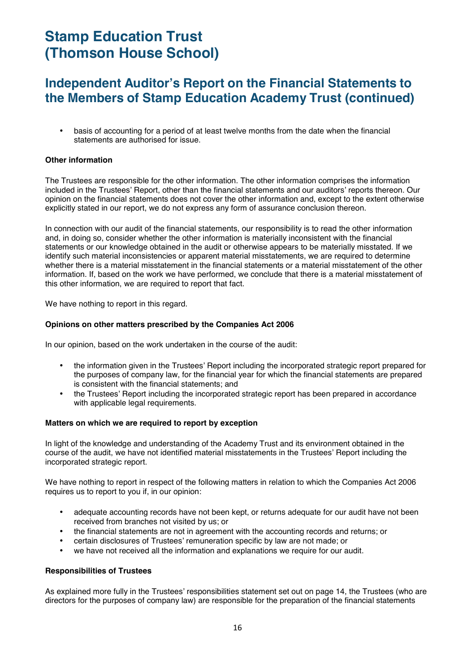### **Independent Auditor's Report on the Financial Statements to the Members of Stamp Education Academy Trust (continued)**

• basis of accounting for a period of at least twelve months from the date when the financial statements are authorised for issue.

#### **Other information**

The Trustees are responsible for the other information. The other information comprises the information included in the Trustees' Report, other than the financial statements and our auditors' reports thereon. Our opinion on the financial statements does not cover the other information and, except to the extent otherwise explicitly stated in our report, we do not express any form of assurance conclusion thereon.

In connection with our audit of the financial statements, our responsibility is to read the other information and, in doing so, consider whether the other information is materially inconsistent with the financial statements or our knowledge obtained in the audit or otherwise appears to be materially misstated. If we identify such material inconsistencies or apparent material misstatements, we are required to determine whether there is a material misstatement in the financial statements or a material misstatement of the other information. If, based on the work we have performed, we conclude that there is a material misstatement of this other information, we are required to report that fact.

We have nothing to report in this regard.

#### **Opinions on other matters prescribed by the Companies Act 2006**

In our opinion, based on the work undertaken in the course of the audit:

- the information given in the Trustees' Report including the incorporated strategic report prepared for the purposes of company law, for the financial year for which the financial statements are prepared is consistent with the financial statements; and
- the Trustees' Report including the incorporated strategic report has been prepared in accordance with applicable legal requirements.

#### **Matters on which we are required to report by exception**

In light of the knowledge and understanding of the Academy Trust and its environment obtained in the course of the audit, we have not identified material misstatements in the Trustees' Report including the incorporated strategic report.

We have nothing to report in respect of the following matters in relation to which the Companies Act 2006 requires us to report to you if, in our opinion:

- adequate accounting records have not been kept, or returns adequate for our audit have not been received from branches not visited by us; or
- the financial statements are not in agreement with the accounting records and returns; or
- certain disclosures of Trustees' remuneration specific by law are not made; or
- we have not received all the information and explanations we require for our audit.

#### **Responsibilities of Trustees**

As explained more fully in the Trustees' responsibilities statement set out on page 14, the Trustees (who are directors for the purposes of company law) are responsible for the preparation of the financial statements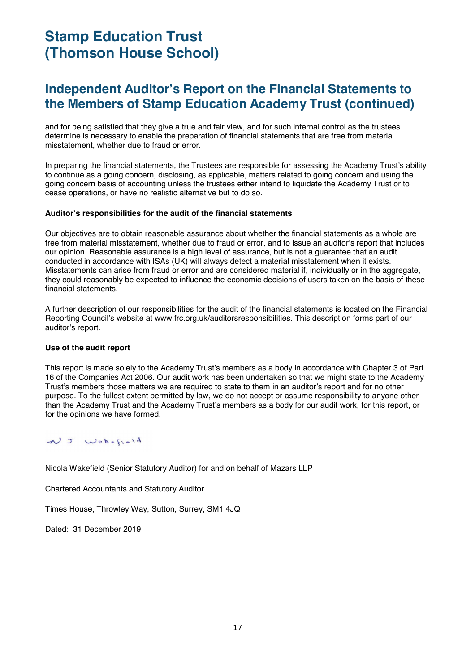### **Independent Auditor's Report on the Financial Statements to the Members of Stamp Education Academy Trust (continued)**

and for being satisfied that they give a true and fair view, and for such internal control as the trustees determine is necessary to enable the preparation of financial statements that are free from material misstatement, whether due to fraud or error.

In preparing the financial statements, the Trustees are responsible for assessing the Academy Trust's ability to continue as a going concern, disclosing, as applicable, matters related to going concern and using the going concern basis of accounting unless the trustees either intend to liquidate the Academy Trust or to cease operations, or have no realistic alternative but to do so.

#### **Auditor's responsibilities for the audit of the financial statements**

Our objectives are to obtain reasonable assurance about whether the financial statements as a whole are free from material misstatement, whether due to fraud or error, and to issue an auditor's report that includes our opinion. Reasonable assurance is a high level of assurance, but is not a guarantee that an audit conducted in accordance with ISAs (UK) will always detect a material misstatement when it exists. Misstatements can arise from fraud or error and are considered material if, individually or in the aggregate, they could reasonably be expected to influence the economic decisions of users taken on the basis of these financial statements.

A further description of our responsibilities for the audit of the financial statements is located on the Financial Reporting Council's website at www.frc.org.uk/auditorsresponsibilities. This description forms part of our auditor's report.

#### **Use of the audit report**

This report is made solely to the Academy Trust's members as a body in accordance with Chapter 3 of Part 16 of the Companies Act 2006. Our audit work has been undertaken so that we might state to the Academy Trust's members those matters we are required to state to them in an auditor's report and for no other purpose. To the fullest extent permitted by law, we do not accept or assume responsibility to anyone other than the Academy Trust and the Academy Trust's members as a body for our audit work, for this report, or for the opinions we have formed.

### NJ Wakefield

Nicola Wakefield (Senior Statutory Auditor) for and on behalf of Mazars LLP

Chartered Accountants and Statutory Auditor

Times House, Throwley Way, Sutton, Surrey, SM1 4JQ

Dated: 31 December 2019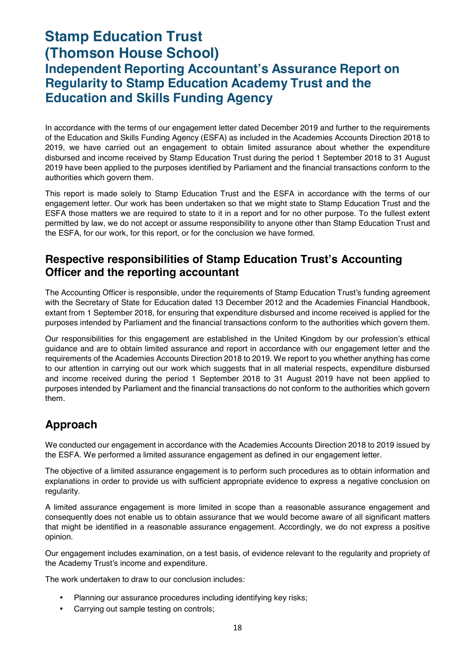### **Stamp Education Trust (Thomson House School) Independent Reporting Accountant's Assurance Report on Regularity to Stamp Education Academy Trust and the Education and Skills Funding Agency**

In accordance with the terms of our engagement letter dated December 2019 and further to the requirements of the Education and Skills Funding Agency (ESFA) as included in the Academies Accounts Direction 2018 to 2019, we have carried out an engagement to obtain limited assurance about whether the expenditure disbursed and income received by Stamp Education Trust during the period 1 September 2018 to 31 August 2019 have been applied to the purposes identified by Parliament and the financial transactions conform to the authorities which govern them.

This report is made solely to Stamp Education Trust and the ESFA in accordance with the terms of our engagement letter. Our work has been undertaken so that we might state to Stamp Education Trust and the ESFA those matters we are required to state to it in a report and for no other purpose. To the fullest extent permitted by law, we do not accept or assume responsibility to anyone other than Stamp Education Trust and the ESFA, for our work, for this report, or for the conclusion we have formed.

### **Respective responsibilities of Stamp Education Trust's Accounting Officer and the reporting accountant**

The Accounting Officer is responsible, under the requirements of Stamp Education Trust's funding agreement with the Secretary of State for Education dated 13 December 2012 and the Academies Financial Handbook, extant from 1 September 2018, for ensuring that expenditure disbursed and income received is applied for the purposes intended by Parliament and the financial transactions conform to the authorities which govern them.

Our responsibilities for this engagement are established in the United Kingdom by our profession's ethical guidance and are to obtain limited assurance and report in accordance with our engagement letter and the requirements of the Academies Accounts Direction 2018 to 2019. We report to you whether anything has come to our attention in carrying out our work which suggests that in all material respects, expenditure disbursed and income received during the period 1 September 2018 to 31 August 2019 have not been applied to purposes intended by Parliament and the financial transactions do not conform to the authorities which govern them.

### **Approach**

We conducted our engagement in accordance with the Academies Accounts Direction 2018 to 2019 issued by the ESFA. We performed a limited assurance engagement as defined in our engagement letter.

The objective of a limited assurance engagement is to perform such procedures as to obtain information and explanations in order to provide us with sufficient appropriate evidence to express a negative conclusion on regularity.

A limited assurance engagement is more limited in scope than a reasonable assurance engagement and consequently does not enable us to obtain assurance that we would become aware of all significant matters that might be identified in a reasonable assurance engagement. Accordingly, we do not express a positive opinion.

Our engagement includes examination, on a test basis, of evidence relevant to the regularity and propriety of the Academy Trust's income and expenditure.

The work undertaken to draw to our conclusion includes:

- Planning our assurance procedures including identifying key risks;
- Carrying out sample testing on controls;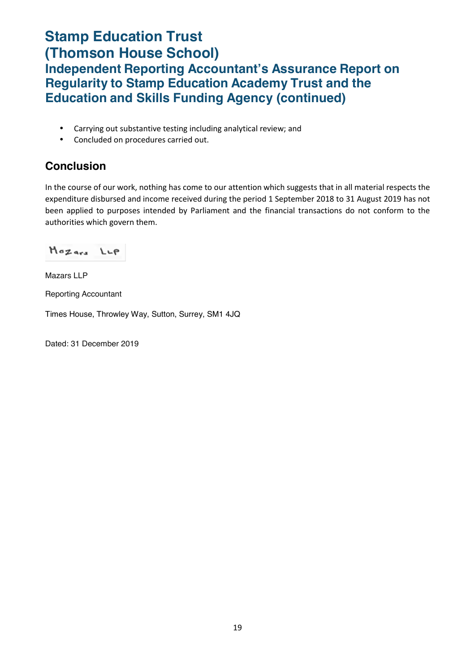### **Stamp Education Trust (Thomson House School) Independent Reporting Accountant's Assurance Report on Regularity to Stamp Education Academy Trust and the Education and Skills Funding Agency (continued)**

- Carrying out substantive testing including analytical review; and
- Concluded on procedures carried out.

### **Conclusion**

In the course of our work, nothing has come to our attention which suggests that in all material respects the expenditure disbursed and income received during the period 1 September 2018 to 31 August 2019 has not been applied to purposes intended by Parliament and the financial transactions do not conform to the authorities which govern them.

Mozars LLP

Mazars LLP

Reporting Accountant

Times House, Throwley Way, Sutton, Surrey, SM1 4JQ

Dated: 31 December 2019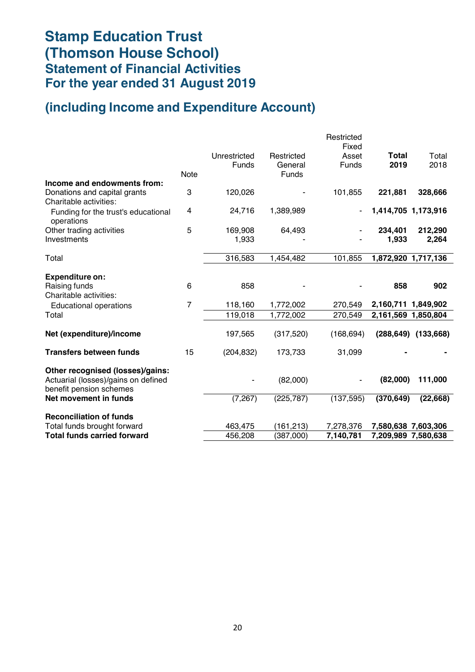## **Stamp Education Trust (Thomson House School) Statement of Financial Activities For the year ended 31 August 2019**

### **(including Income and Expenditure Account)**

|                                                                |                |                       |                       | Restricted<br>Fixed |                      |                           |
|----------------------------------------------------------------|----------------|-----------------------|-----------------------|---------------------|----------------------|---------------------------|
|                                                                |                | Unrestricted<br>Funds | Restricted<br>General | Asset<br>Funds      | <b>Total</b><br>2019 | Total<br>2018             |
|                                                                | <b>Note</b>    |                       | <b>Funds</b>          |                     |                      |                           |
| Income and endowments from:                                    |                |                       |                       |                     |                      |                           |
| Donations and capital grants<br>Charitable activities:         | 3              | 120,026               |                       | 101,855             | 221,881              | 328,666                   |
| Funding for the trust's educational<br>operations              | 4              | 24,716                | 1,389,989             |                     | 1,414,705 1,173,916  |                           |
| Other trading activities                                       | 5              | 169,908               | 64,493                |                     | 234,401              | 212,290                   |
| Investments                                                    |                | 1,933                 |                       |                     | 1,933                | 2,264                     |
| Total                                                          |                | 316,583               | 1,454,482             | 101,855             | 1,872,920 1,717,136  |                           |
|                                                                |                |                       |                       |                     |                      |                           |
| <b>Expenditure on:</b>                                         |                |                       |                       |                     |                      |                           |
| Raising funds<br>Charitable activities:                        | 6              | 858                   |                       |                     | 858                  | 902                       |
| <b>Educational operations</b>                                  | $\overline{7}$ | 118,160               | 1,772,002             | 270,549             | 2,160,711 1,849,902  |                           |
| Total                                                          |                | 119,018               | 1,772,002             | 270,549             | 2,161,569 1,850,804  |                           |
|                                                                |                |                       |                       |                     |                      |                           |
| Net (expenditure)/income                                       |                | 197,565               | (317, 520)            | (168, 694)          |                      | $(288, 649)$ $(133, 668)$ |
| <b>Transfers between funds</b>                                 | 15             | (204, 832)            | 173,733               | 31,099              |                      |                           |
| Other recognised (losses)/gains:                               |                |                       |                       |                     |                      |                           |
| Actuarial (losses)/gains on defined<br>benefit pension schemes |                |                       | (82,000)              |                     | (82,000)             | 111,000                   |
| Net movement in funds                                          |                | (7, 267)              | (225, 787)            | (137, 595)          | (370, 649)           | (22, 668)                 |
| <b>Reconciliation of funds</b>                                 |                |                       |                       |                     |                      |                           |
| Total funds brought forward                                    |                | 463,475               | (161, 213)            | 7,278,376           | 7,580,638 7,603,306  |                           |
| <b>Total funds carried forward</b>                             |                | 456,208               | (387,000)             | 7,140,781           | 7,209,989 7,580,638  |                           |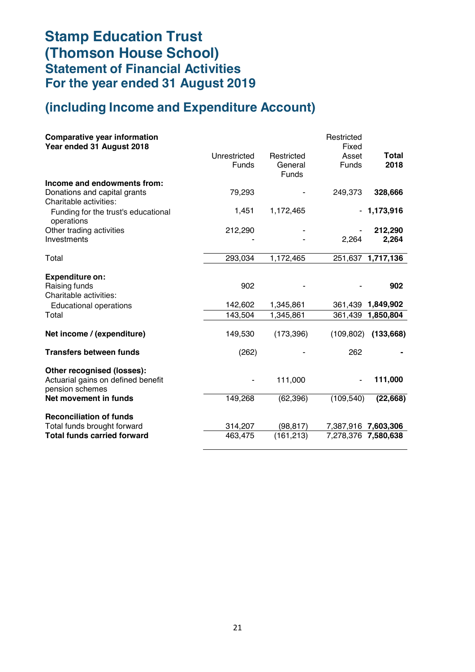# **Stamp Education Trust (Thomson House School) Statement of Financial Activities For the year ended 31 August 2019**

### **(including Income and Expenditure Account)**

|                              |                                       | Restricted<br>Fixed |                                                                                   |
|------------------------------|---------------------------------------|---------------------|-----------------------------------------------------------------------------------|
| Unrestricted<br><b>Funds</b> | Restricted<br>General<br><b>Funds</b> | Asset<br>Funds      | <b>Total</b><br>2018                                                              |
|                              |                                       |                     |                                                                                   |
|                              |                                       |                     | 328,666                                                                           |
| 1,451                        | 1,172,465                             |                     | 1,173,916                                                                         |
|                              |                                       |                     | 212,290                                                                           |
|                              |                                       | 2,264               | 2,264                                                                             |
| 293,034                      | 1,172,465                             |                     | 251,637 1,717,136                                                                 |
|                              |                                       |                     |                                                                                   |
| 902                          |                                       |                     | 902                                                                               |
| 142,602                      | 1,345,861                             |                     | 361,439 1,849,902                                                                 |
| 143,504                      | 1,345,861                             | 361,439             | 1,850,804                                                                         |
| 149,530                      | (173, 396)                            |                     | (133, 668)                                                                        |
| (262)                        |                                       | 262                 |                                                                                   |
|                              | 111,000                               |                     | 111,000                                                                           |
| 149,268                      | (62, 396)                             |                     | (22, 668)                                                                         |
|                              |                                       |                     |                                                                                   |
| 314,207                      | (98, 817)                             |                     |                                                                                   |
| 463,475                      | (161, 213)                            |                     |                                                                                   |
|                              | 79,293<br>212,290                     |                     | 249,373<br>(109, 802)<br>(109, 540)<br>7,387,916 7,603,306<br>7,278,376 7,580,638 |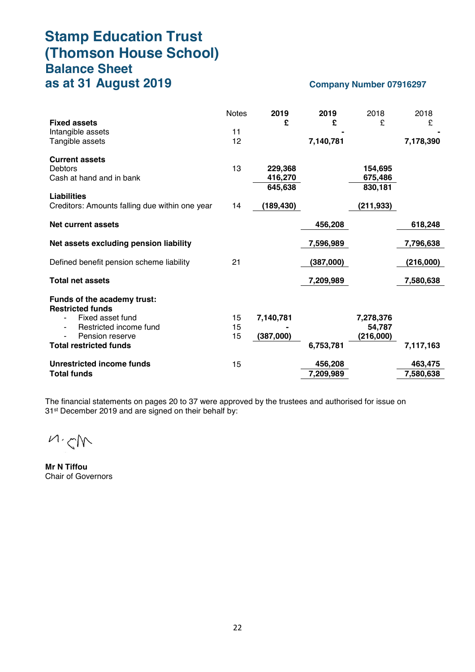### **Stamp Education Trust (Thomson House School) Balance Sheet as at 31 August 2019** Company Number 07916297

| <b>Fixed assets</b><br>Intangible assets<br>Tangible assets                                                                                              | <b>Notes</b><br>11<br>12 | 2019<br>£                     | 2019<br>£<br>7,140,781 | 2018<br>£                        | 2018<br>£<br>7,178,390 |
|----------------------------------------------------------------------------------------------------------------------------------------------------------|--------------------------|-------------------------------|------------------------|----------------------------------|------------------------|
| <b>Current assets</b><br>Debtors<br>Cash at hand and in bank                                                                                             | 13                       | 229,368<br>416,270<br>645,638 |                        | 154,695<br>675,486<br>830,181    |                        |
| <b>Liabilities</b><br>Creditors: Amounts falling due within one year                                                                                     | 14                       | (189, 430)                    |                        | (211, 933)                       |                        |
| Net current assets                                                                                                                                       |                          |                               | 456,208                |                                  | 618,248                |
| Net assets excluding pension liability                                                                                                                   |                          |                               | 7,596,989              |                                  | 7,796,638              |
| Defined benefit pension scheme liability                                                                                                                 | 21                       |                               | (387,000)              |                                  | (216,000)              |
| <b>Total net assets</b>                                                                                                                                  |                          |                               | 7,209,989              |                                  | 7,580,638              |
| Funds of the academy trust:<br><b>Restricted funds</b><br>Fixed asset fund<br>Restricted income fund<br>Pension reserve<br><b>Total restricted funds</b> | 15<br>15<br>15           | 7,140,781<br>(387,000)        | 6,753,781              | 7,278,376<br>54,787<br>(216,000) | 7,117,163              |
| Unrestricted income funds<br><b>Total funds</b>                                                                                                          | 15                       |                               | 456,208<br>7,209,989   |                                  | 463,475<br>7,580,638   |

The financial statements on pages 20 to 37 were approved by the trustees and authorised for issue on 31<sup>st</sup> December 2019 and are signed on their behalf by:

 $M, N$ 

**Mr N Tiffou** Chair of Governors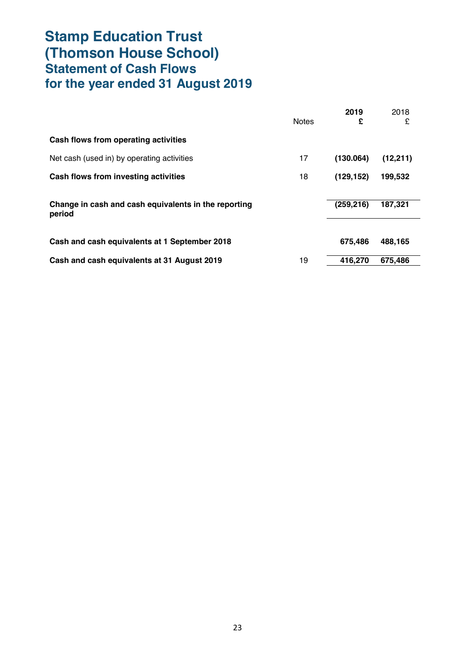# **Stamp Education Trust (Thomson House School) Statement of Cash Flows for the year ended 31 August 2019**

|                                                                | <b>Notes</b> | 2019<br>£  | 2018<br>£ |
|----------------------------------------------------------------|--------------|------------|-----------|
| Cash flows from operating activities                           |              |            |           |
| Net cash (used in) by operating activities                     | 17           | (130.064)  | (12, 211) |
| Cash flows from investing activities                           | 18           | (129, 152) | 199,532   |
| Change in cash and cash equivalents in the reporting<br>period |              | (259, 216) | 187,321   |
| Cash and cash equivalents at 1 September 2018                  |              | 675.486    | 488,165   |
| Cash and cash equivalents at 31 August 2019                    | 19           | 416,270    | 675.486   |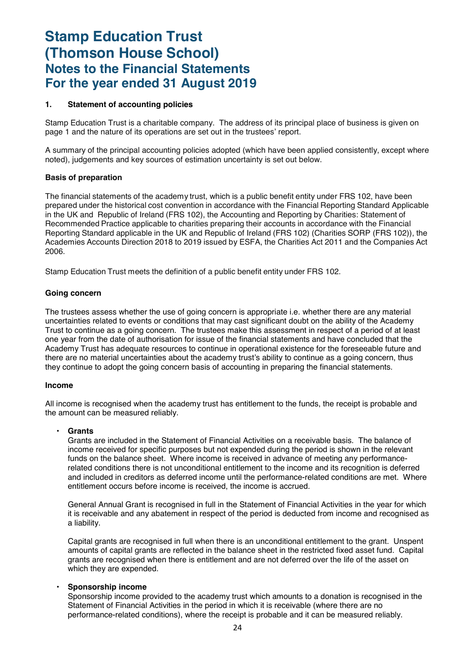### **1. Statement of accounting policies**

Stamp Education Trust is a charitable company. The address of its principal place of business is given on page 1 and the nature of its operations are set out in the trustees' report.

A summary of the principal accounting policies adopted (which have been applied consistently, except where noted), judgements and key sources of estimation uncertainty is set out below.

#### **Basis of preparation**

The financial statements of the academy trust, which is a public benefit entity under FRS 102, have been prepared under the historical cost convention in accordance with the Financial Reporting Standard Applicable in the UK and Republic of Ireland (FRS 102), the Accounting and Reporting by Charities: Statement of Recommended Practice applicable to charities preparing their accounts in accordance with the Financial Reporting Standard applicable in the UK and Republic of Ireland (FRS 102) (Charities SORP (FRS 102)), the Academies Accounts Direction 2018 to 2019 issued by ESFA, the Charities Act 2011 and the Companies Act 2006.

Stamp Education Trust meets the definition of a public benefit entity under FRS 102.

#### **Going concern**

The trustees assess whether the use of going concern is appropriate i.e. whether there are any material uncertainties related to events or conditions that may cast significant doubt on the ability of the Academy Trust to continue as a going concern. The trustees make this assessment in respect of a period of at least one year from the date of authorisation for issue of the financial statements and have concluded that the Academy Trust has adequate resources to continue in operational existence for the foreseeable future and there are no material uncertainties about the academy trust's ability to continue as a going concern, thus they continue to adopt the going concern basis of accounting in preparing the financial statements.

#### **Income**

All income is recognised when the academy trust has entitlement to the funds, the receipt is probable and the amount can be measured reliably.

#### • **Grants**

Grants are included in the Statement of Financial Activities on a receivable basis. The balance of income received for specific purposes but not expended during the period is shown in the relevant funds on the balance sheet. Where income is received in advance of meeting any performancerelated conditions there is not unconditional entitlement to the income and its recognition is deferred and included in creditors as deferred income until the performance-related conditions are met. Where entitlement occurs before income is received, the income is accrued.

General Annual Grant is recognised in full in the Statement of Financial Activities in the year for which it is receivable and any abatement in respect of the period is deducted from income and recognised as a liability.

Capital grants are recognised in full when there is an unconditional entitlement to the grant. Unspent amounts of capital grants are reflected in the balance sheet in the restricted fixed asset fund. Capital grants are recognised when there is entitlement and are not deferred over the life of the asset on which they are expended.

#### • **Sponsorship income**

Sponsorship income provided to the academy trust which amounts to a donation is recognised in the Statement of Financial Activities in the period in which it is receivable (where there are no performance-related conditions), where the receipt is probable and it can be measured reliably.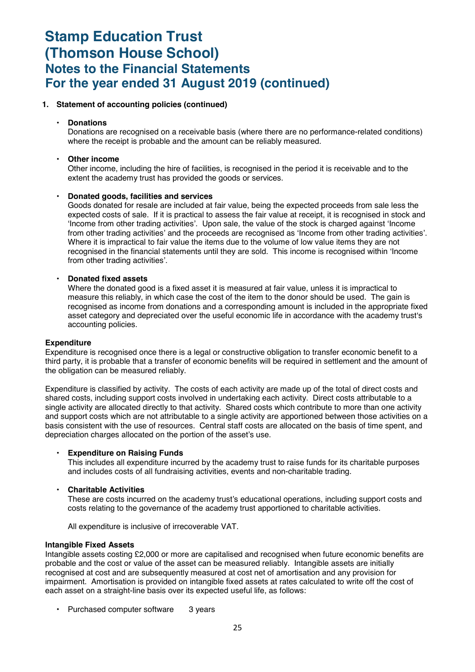#### **1. Statement of accounting policies (continued)**

#### • **Donations**

Donations are recognised on a receivable basis (where there are no performance-related conditions) where the receipt is probable and the amount can be reliably measured.

#### • **Other income**

Other income, including the hire of facilities, is recognised in the period it is receivable and to the extent the academy trust has provided the goods or services.

### • **Donated goods, facilities and services**

Goods donated for resale are included at fair value, being the expected proceeds from sale less the expected costs of sale. If it is practical to assess the fair value at receipt, it is recognised in stock and 'Income from other trading activities'. Upon sale, the value of the stock is charged against 'Income from other trading activities' and the proceeds are recognised as 'Income from other trading activities'. Where it is impractical to fair value the items due to the volume of low value items they are not recognised in the financial statements until they are sold. This income is recognised within 'Income from other trading activities'.

#### • **Donated fixed assets**

Where the donated good is a fixed asset it is measured at fair value, unless it is impractical to measure this reliably, in which case the cost of the item to the donor should be used. The gain is recognised as income from donations and a corresponding amount is included in the appropriate fixed asset category and depreciated over the useful economic life in accordance with the academy trust's accounting policies.

#### **Expenditure**

Expenditure is recognised once there is a legal or constructive obligation to transfer economic benefit to a third party, it is probable that a transfer of economic benefits will be required in settlement and the amount of the obligation can be measured reliably.

Expenditure is classified by activity. The costs of each activity are made up of the total of direct costs and shared costs, including support costs involved in undertaking each activity. Direct costs attributable to a single activity are allocated directly to that activity. Shared costs which contribute to more than one activity and support costs which are not attributable to a single activity are apportioned between those activities on a basis consistent with the use of resources. Central staff costs are allocated on the basis of time spent, and depreciation charges allocated on the portion of the asset's use.

#### • **Expenditure on Raising Funds**

This includes all expenditure incurred by the academy trust to raise funds for its charitable purposes and includes costs of all fundraising activities, events and non-charitable trading.

#### • **Charitable Activities**

These are costs incurred on the academy trust's educational operations, including support costs and costs relating to the governance of the academy trust apportioned to charitable activities.

All expenditure is inclusive of irrecoverable VAT.

#### **Intangible Fixed Assets**

Intangible assets costing £2,000 or more are capitalised and recognised when future economic benefits are probable and the cost or value of the asset can be measured reliably. Intangible assets are initially recognised at cost and are subsequently measured at cost net of amortisation and any provision for impairment. Amortisation is provided on intangible fixed assets at rates calculated to write off the cost of each asset on a straight-line basis over its expected useful life, as follows:

• Purchased computer software 3 years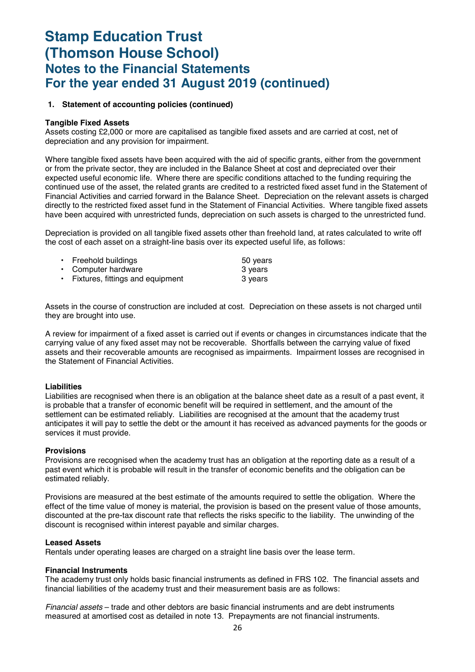#### **1. Statement of accounting policies (continued)**

#### **Tangible Fixed Assets**

Assets costing £2,000 or more are capitalised as tangible fixed assets and are carried at cost, net of depreciation and any provision for impairment.

Where tangible fixed assets have been acquired with the aid of specific grants, either from the government or from the private sector, they are included in the Balance Sheet at cost and depreciated over their expected useful economic life. Where there are specific conditions attached to the funding requiring the continued use of the asset, the related grants are credited to a restricted fixed asset fund in the Statement of Financial Activities and carried forward in the Balance Sheet. Depreciation on the relevant assets is charged directly to the restricted fixed asset fund in the Statement of Financial Activities. Where tangible fixed assets have been acquired with unrestricted funds, depreciation on such assets is charged to the unrestricted fund.

Depreciation is provided on all tangible fixed assets other than freehold land, at rates calculated to write off the cost of each asset on a straight-line basis over its expected useful life, as follows:

| • Freehold buildings               | 50 years |
|------------------------------------|----------|
| • Computer hardware                | 3 vears  |
| • Fixtures, fittings and equipment | 3 years  |

Assets in the course of construction are included at cost. Depreciation on these assets is not charged until they are brought into use.

A review for impairment of a fixed asset is carried out if events or changes in circumstances indicate that the carrying value of any fixed asset may not be recoverable. Shortfalls between the carrying value of fixed assets and their recoverable amounts are recognised as impairments. Impairment losses are recognised in the Statement of Financial Activities.

#### **Liabilities**

Liabilities are recognised when there is an obligation at the balance sheet date as a result of a past event, it is probable that a transfer of economic benefit will be required in settlement, and the amount of the settlement can be estimated reliably. Liabilities are recognised at the amount that the academy trust anticipates it will pay to settle the debt or the amount it has received as advanced payments for the goods or services it must provide.

#### **Provisions**

Provisions are recognised when the academy trust has an obligation at the reporting date as a result of a past event which it is probable will result in the transfer of economic benefits and the obligation can be estimated reliably.

Provisions are measured at the best estimate of the amounts required to settle the obligation. Where the effect of the time value of money is material, the provision is based on the present value of those amounts, discounted at the pre-tax discount rate that reflects the risks specific to the liability. The unwinding of the discount is recognised within interest payable and similar charges.

#### **Leased Assets**

Rentals under operating leases are charged on a straight line basis over the lease term.

#### **Financial Instruments**

The academy trust only holds basic financial instruments as defined in FRS 102. The financial assets and financial liabilities of the academy trust and their measurement basis are as follows:

*Financial assets* – trade and other debtors are basic financial instruments and are debt instruments measured at amortised cost as detailed in note 13. Prepayments are not financial instruments.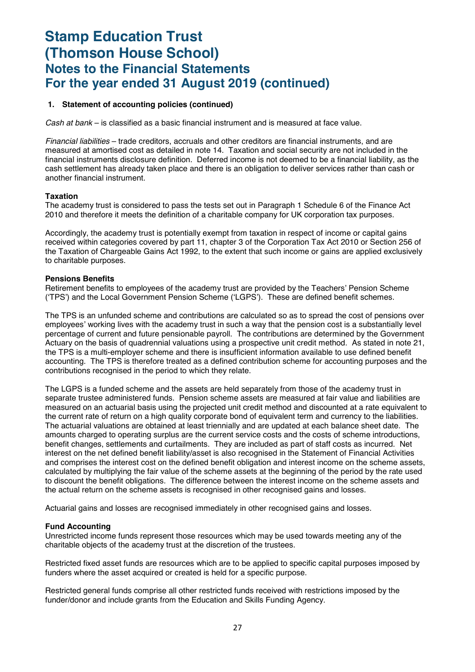#### **1. Statement of accounting policies (continued)**

*Cash at bank* – is classified as a basic financial instrument and is measured at face value.

*Financial liabilities* – trade creditors, accruals and other creditors are financial instruments, and are measured at amortised cost as detailed in note 14. Taxation and social security are not included in the financial instruments disclosure definition. Deferred income is not deemed to be a financial liability, as the cash settlement has already taken place and there is an obligation to deliver services rather than cash or another financial instrument.

#### **Taxation**

The academy trust is considered to pass the tests set out in Paragraph 1 Schedule 6 of the Finance Act 2010 and therefore it meets the definition of a charitable company for UK corporation tax purposes.

Accordingly, the academy trust is potentially exempt from taxation in respect of income or capital gains received within categories covered by part 11, chapter 3 of the Corporation Tax Act 2010 or Section 256 of the Taxation of Chargeable Gains Act 1992, to the extent that such income or gains are applied exclusively to charitable purposes.

#### **Pensions Benefits**

Retirement benefits to employees of the academy trust are provided by the Teachers' Pension Scheme ('TPS') and the Local Government Pension Scheme ('LGPS'). These are defined benefit schemes.

The TPS is an unfunded scheme and contributions are calculated so as to spread the cost of pensions over employees' working lives with the academy trust in such a way that the pension cost is a substantially level percentage of current and future pensionable payroll. The contributions are determined by the Government Actuary on the basis of quadrennial valuations using a prospective unit credit method. As stated in note 21, the TPS is a multi-employer scheme and there is insufficient information available to use defined benefit accounting. The TPS is therefore treated as a defined contribution scheme for accounting purposes and the contributions recognised in the period to which they relate.

The LGPS is a funded scheme and the assets are held separately from those of the academy trust in separate trustee administered funds. Pension scheme assets are measured at fair value and liabilities are measured on an actuarial basis using the projected unit credit method and discounted at a rate equivalent to the current rate of return on a high quality corporate bond of equivalent term and currency to the liabilities. The actuarial valuations are obtained at least triennially and are updated at each balance sheet date. The amounts charged to operating surplus are the current service costs and the costs of scheme introductions, benefit changes, settlements and curtailments. They are included as part of staff costs as incurred. Net interest on the net defined benefit liability/asset is also recognised in the Statement of Financial Activities and comprises the interest cost on the defined benefit obligation and interest income on the scheme assets, calculated by multiplying the fair value of the scheme assets at the beginning of the period by the rate used to discount the benefit obligations. The difference between the interest income on the scheme assets and the actual return on the scheme assets is recognised in other recognised gains and losses.

Actuarial gains and losses are recognised immediately in other recognised gains and losses.

#### **Fund Accounting**

Unrestricted income funds represent those resources which may be used towards meeting any of the charitable objects of the academy trust at the discretion of the trustees.

Restricted fixed asset funds are resources which are to be applied to specific capital purposes imposed by funders where the asset acquired or created is held for a specific purpose.

Restricted general funds comprise all other restricted funds received with restrictions imposed by the funder/donor and include grants from the Education and Skills Funding Agency.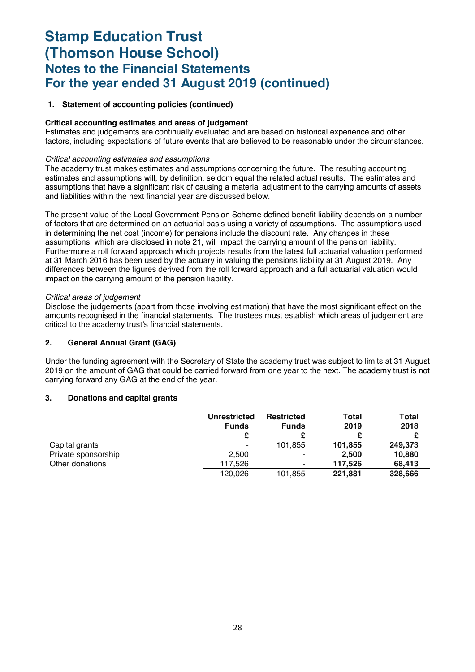#### **1. Statement of accounting policies (continued)**

#### **Critical accounting estimates and areas of judgement**

Estimates and judgements are continually evaluated and are based on historical experience and other factors, including expectations of future events that are believed to be reasonable under the circumstances.

#### *Critical accounting estimates and assumptions*

The academy trust makes estimates and assumptions concerning the future. The resulting accounting estimates and assumptions will, by definition, seldom equal the related actual results. The estimates and assumptions that have a significant risk of causing a material adjustment to the carrying amounts of assets and liabilities within the next financial year are discussed below.

The present value of the Local Government Pension Scheme defined benefit liability depends on a number of factors that are determined on an actuarial basis using a variety of assumptions. The assumptions used in determining the net cost (income) for pensions include the discount rate. Any changes in these assumptions, which are disclosed in note 21, will impact the carrying amount of the pension liability. Furthermore a roll forward approach which projects results from the latest full actuarial valuation performed at 31 March 2016 has been used by the actuary in valuing the pensions liability at 31 August 2019. Any differences between the figures derived from the roll forward approach and a full actuarial valuation would impact on the carrying amount of the pension liability.

#### *Critical areas of judgement*

Disclose the judgements (apart from those involving estimation) that have the most significant effect on the amounts recognised in the financial statements. The trustees must establish which areas of judgement are critical to the academy trust's financial statements.

#### **2. General Annual Grant (GAG)**

Under the funding agreement with the Secretary of State the academy trust was subject to limits at 31 August 2019 on the amount of GAG that could be carried forward from one year to the next. The academy trust is not carrying forward any GAG at the end of the year.

#### **3. Donations and capital grants**

|                     | <b>Unrestricted</b><br><b>Funds</b> | <b>Restricted</b><br><b>Funds</b> | Total<br>2019 | <b>Total</b><br>2018 |
|---------------------|-------------------------------------|-----------------------------------|---------------|----------------------|
|                     |                                     |                                   |               |                      |
| Capital grants      | ۰                                   | 101.855                           | 101,855       | 249,373              |
| Private sponsorship | 2.500                               | ۰                                 | 2.500         | 10,880               |
| Other donations     | 117.526                             | ۰                                 | 117.526       | 68.413               |
|                     | 120.026                             | 101,855                           | 221,881       | 328,666              |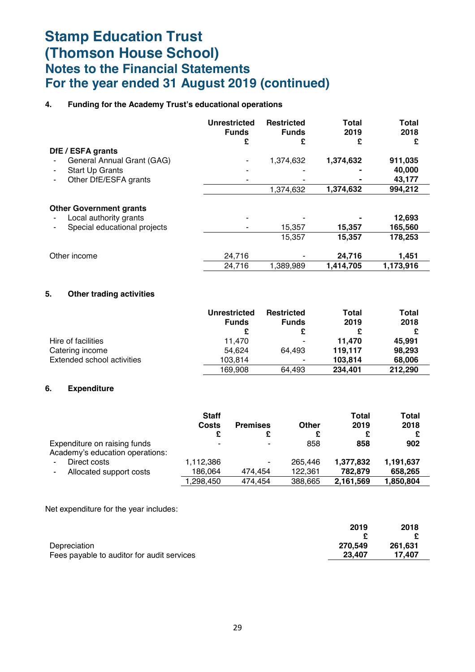### **4. Funding for the Academy Trust's educational operations**

|                                                                                          | <b>Unrestricted</b><br><b>Funds</b><br>£ | <b>Restricted</b><br><b>Funds</b><br>£ | <b>Total</b><br>2019<br>£ | <b>Total</b><br>2018<br>£ |
|------------------------------------------------------------------------------------------|------------------------------------------|----------------------------------------|---------------------------|---------------------------|
| DfE / ESFA grants                                                                        |                                          |                                        |                           |                           |
| General Annual Grant (GAG)                                                               |                                          | 1,374,632                              | 1,374,632                 | 911,035                   |
| <b>Start Up Grants</b><br>۰                                                              |                                          |                                        |                           | 40,000                    |
| Other DfE/ESFA grants                                                                    |                                          |                                        |                           | 43,177                    |
|                                                                                          |                                          | 1,374,632                              | 1,374,632                 | 994,212                   |
| <b>Other Government grants</b><br>Local authority grants<br>Special educational projects |                                          | 15,357                                 | 15,357                    | 12,693<br>165,560         |
|                                                                                          |                                          | 15,357                                 | 15,357                    | 178,253                   |
| Other income                                                                             | 24,716                                   |                                        | 24,716                    | 1,451                     |
|                                                                                          | 24,716                                   | 1,389,989                              | 1,414,705                 | 1,173,916                 |

### **5. Other trading activities**

|                            | <b>Unrestricted</b> | <b>Restricted</b> | Total   | <b>Total</b> |
|----------------------------|---------------------|-------------------|---------|--------------|
|                            | <b>Funds</b>        | <b>Funds</b>      | 2019    | 2018         |
|                            |                     | £                 |         |              |
| Hire of facilities         | 11.470              | ۰                 | 11.470  | 45.991       |
| Catering income            | 54.624              | 64.493            | 119,117 | 98,293       |
| Extended school activities | 103.814             | ۰                 | 103.814 | 68,006       |
|                            | 169.908             | 64.493            | 234.401 | 212,290      |

### **6. Expenditure**

|                                 | <b>Staff</b>             |                 |         | Total     | Total     |
|---------------------------------|--------------------------|-----------------|---------|-----------|-----------|
|                                 | Costs                    | <b>Premises</b> | Other   | 2019      | 2018      |
|                                 |                          |                 | £       | £         | £         |
| Expenditure on raising funds    | $\overline{\phantom{0}}$ | $\blacksquare$  | 858     | 858       | 902       |
| Academy's education operations: |                          |                 |         |           |           |
| Direct costs                    | 1,112,386                | ٠               | 265.446 | 1,377,832 | 1,191,637 |
| Allocated support costs         | 186,064                  | 474.454         | 122,361 | 782.879   | 658.265   |
|                                 | ,298,450                 | 474.454         | 388.665 | 2,161,569 | 1,850,804 |

Net expenditure for the year includes:

|                                            | 2019    | 2018    |
|--------------------------------------------|---------|---------|
|                                            |         |         |
| Depreciation                               | 270.549 | 261.631 |
| Fees payable to auditor for audit services | 23,407  | 17.407  |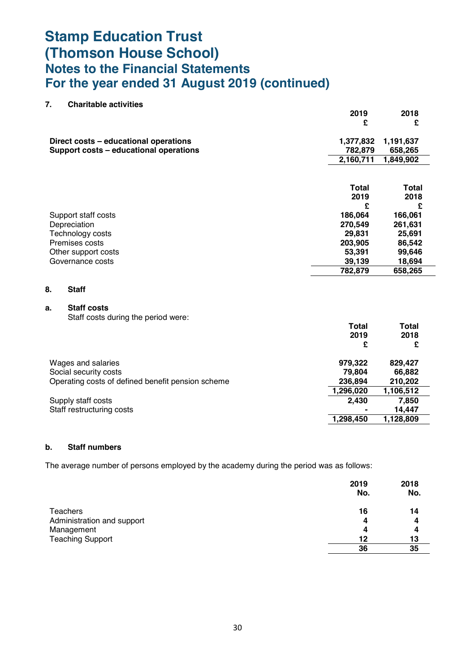| 7. | <b>Charitable activities</b>                      |              |              |
|----|---------------------------------------------------|--------------|--------------|
|    |                                                   | 2019         | 2018         |
|    |                                                   | £            | £            |
|    | Direct costs - educational operations             | 1,377,832    | 1,191,637    |
|    | Support costs - educational operations            | 782,879      | 658,265      |
|    |                                                   | 2,160,711    | 1,849,902    |
|    |                                                   |              |              |
|    |                                                   | <b>Total</b> | <b>Total</b> |
|    |                                                   | 2019         | 2018         |
|    |                                                   | £            | £            |
|    | Support staff costs                               | 186,064      | 166,061      |
|    | Depreciation                                      | 270,549      | 261,631      |
|    | Technology costs                                  | 29,831       | 25,691       |
|    | Premises costs                                    | 203,905      | 86,542       |
|    | Other support costs                               | 53,391       | 99,646       |
|    | Governance costs                                  | 39,139       | 18,694       |
|    |                                                   | 782,879      | 658,265      |
| 8. | <b>Staff</b>                                      |              |              |
| a. | <b>Staff costs</b>                                |              |              |
|    | Staff costs during the period were:               |              |              |
|    |                                                   | <b>Total</b> | <b>Total</b> |
|    |                                                   | 2019         | 2018         |
|    |                                                   | £            | £            |
|    | Wages and salaries                                | 979,322      | 829,427      |
|    | Social security costs                             | 79,804       | 66,882       |
|    | Operating costs of defined benefit pension scheme | 236,894      | 210,202      |
|    |                                                   | 1,296,020    | 1,106,512    |
|    | Supply staff costs                                | 2,430        | 7,850        |
|    | Staff restructuring costs                         |              | 14,447       |

#### **b. Staff numbers**

The average number of persons employed by the academy during the period was as follows:

|                            | 2019<br>No. | 2018<br>No. |
|----------------------------|-------------|-------------|
| <b>Teachers</b>            | 16          | 14          |
| Administration and support | 4           | 4           |
| Management                 | 4           | 4           |
| <b>Teaching Support</b>    | 12          | 13          |
|                            | 36          | 35          |

**1,298,450 1,128,809**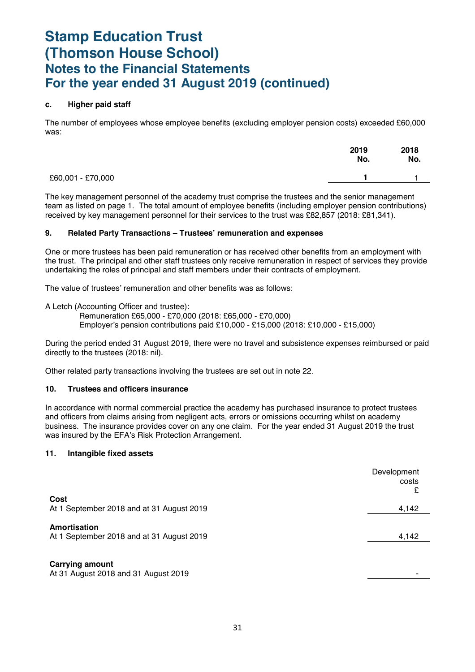#### **c. Higher paid staff**

The number of employees whose employee benefits (excluding employer pension costs) exceeded £60,000 was:

|                   | 2019<br>No. | 2018<br>No. |
|-------------------|-------------|-------------|
| £60,001 - £70,000 |             |             |

The key management personnel of the academy trust comprise the trustees and the senior management team as listed on page 1. The total amount of employee benefits (including employer pension contributions) received by key management personnel for their services to the trust was £82,857 (2018: £81,341).

#### **9. Related Party Transactions – Trustees' remuneration and expenses**

One or more trustees has been paid remuneration or has received other benefits from an employment with the trust. The principal and other staff trustees only receive remuneration in respect of services they provide undertaking the roles of principal and staff members under their contracts of employment.

The value of trustees' remuneration and other benefits was as follows:

A Letch (Accounting Officer and trustee):

Remuneration £65,000 - £70,000 (2018: £65,000 - £70,000) Employer's pension contributions paid £10,000 - £15,000 (2018: £10,000 - £15,000)

During the period ended 31 August 2019, there were no travel and subsistence expenses reimbursed or paid directly to the trustees (2018: nil).

Other related party transactions involving the trustees are set out in note 22.

#### **10. Trustees and officers insurance**

In accordance with normal commercial practice the academy has purchased insurance to protect trustees and officers from claims arising from negligent acts, errors or omissions occurring whilst on academy business. The insurance provides cover on any one claim. For the year ended 31 August 2019 the trust was insured by the EFA's Risk Protection Arrangement.

#### **11. Intangible fixed assets**

|                                                                | Development<br>costs<br>£ |
|----------------------------------------------------------------|---------------------------|
| Cost                                                           |                           |
| At 1 September 2018 and at 31 August 2019                      | 4,142                     |
| Amortisation<br>At 1 September 2018 and at 31 August 2019      | 4,142                     |
| <b>Carrying amount</b><br>At 31 August 2018 and 31 August 2019 |                           |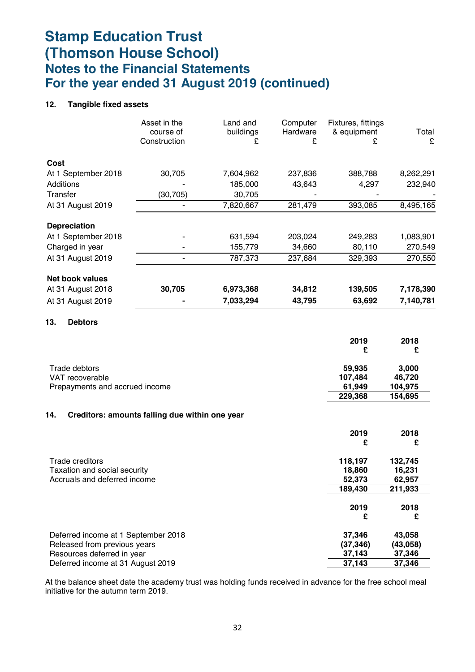### **12. Tangible fixed assets**

|                     | Asset in the<br>course of<br>Construction | Land and<br>buildings<br>£ | Computer<br>Hardware<br>£ | Fixtures, fittings<br>& equipment<br>£ | Total<br>£ |
|---------------------|-------------------------------------------|----------------------------|---------------------------|----------------------------------------|------------|
| Cost                |                                           |                            |                           |                                        |            |
| At 1 September 2018 | 30,705                                    | 7,604,962                  | 237,836                   | 388,788                                | 8,262,291  |
| Additions           |                                           | 185,000                    | 43,643                    | 4,297                                  | 232,940    |
| Transfer            | (30, 705)                                 | 30,705                     |                           |                                        |            |
| At 31 August 2019   |                                           | 7,820,667                  | 281,479                   | 393,085                                | 8,495,165  |
| <b>Depreciation</b> |                                           |                            |                           |                                        |            |
| At 1 September 2018 |                                           | 631,594                    | 203,024                   | 249,283                                | 1,083,901  |
| Charged in year     |                                           | 155,779                    | 34,660                    | 80,110                                 | 270,549    |
| At 31 August 2019   |                                           | 787,373                    | 237,684                   | 329,393                                | 270,550    |
| Net book values     |                                           |                            |                           |                                        |            |
| At 31 August 2018   | 30,705                                    | 6,973,368                  | 34,812                    | 139,505                                | 7,178,390  |
| At 31 August 2019   |                                           | 7,033,294                  | 43,795                    | 63,692                                 | 7,140,781  |
|                     |                                           |                            |                           |                                        |            |

### **13. Debtors**

|                                | 2019<br>£ | 2018<br>£ |
|--------------------------------|-----------|-----------|
| Trade debtors                  | 59,935    | 3,000     |
| VAT recoverable                | 107.484   | 46.720    |
| Prepayments and accrued income | 61.949    | 104.975   |
|                                | 229,368   | 154,695   |

#### **14. Creditors: amounts falling due within one year**

|                                     | 2019      | 2018     |
|-------------------------------------|-----------|----------|
|                                     | £         | £        |
| Trade creditors                     | 118,197   | 132,745  |
| Taxation and social security        | 18,860    | 16,231   |
| Accruals and deferred income        | 52,373    | 62,957   |
|                                     | 189,430   | 211,933  |
|                                     | 2019      | 2018     |
|                                     | £         | £        |
| Deferred income at 1 September 2018 | 37.346    | 43,058   |
| Released from previous years        | (37, 346) | (43,058) |
| Resources deferred in year          | 37,143    | 37,346   |
| Deferred income at 31 August 2019   | 37,143    | 37,346   |

At the balance sheet date the academy trust was holding funds received in advance for the free school meal initiative for the autumn term 2019.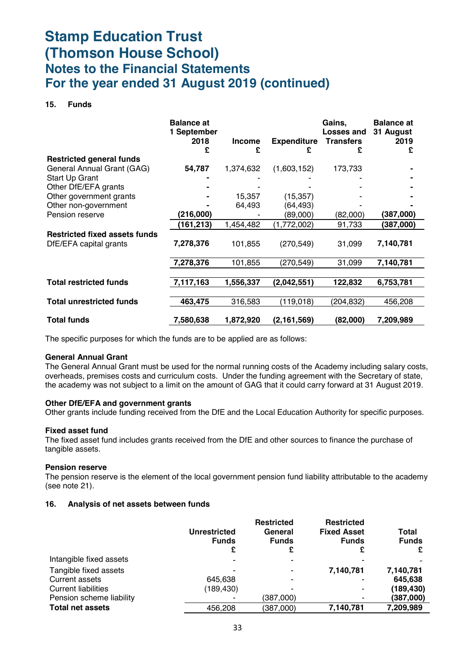#### **15. Funds**

|                                                                | <b>Balance at</b><br>1 September<br>2018<br>£ | <b>Income</b><br>£ | <b>Expenditure</b><br>£ | Gains,<br>Losses and<br><b>Transfers</b><br>£ | <b>Balance at</b><br>31 August<br>2019<br>£ |
|----------------------------------------------------------------|-----------------------------------------------|--------------------|-------------------------|-----------------------------------------------|---------------------------------------------|
| <b>Restricted general funds</b>                                |                                               |                    |                         |                                               |                                             |
| General Annual Grant (GAG)                                     | 54,787                                        | 1,374,632          | (1,603,152)             | 173,733                                       |                                             |
| Start Up Grant                                                 |                                               |                    |                         |                                               |                                             |
| Other DfE/EFA grants                                           |                                               |                    |                         |                                               |                                             |
| Other government grants                                        |                                               | 15,357             | (15, 357)               |                                               |                                             |
| Other non-government                                           |                                               | 64,493             | (64, 493)               |                                               |                                             |
| Pension reserve                                                | (216,000)                                     |                    | (89,000)                | (82,000)                                      | (387,000)                                   |
|                                                                | (161,213)                                     | 1,454,482          | (1,772,002)             | 91,733                                        | (387,000)                                   |
| <b>Restricted fixed assets funds</b><br>DfE/EFA capital grants | 7,278,376                                     | 101,855            | (270, 549)              | 31,099                                        | 7,140,781                                   |
|                                                                | 7,278,376                                     | 101,855            | (270, 549)              | 31,099                                        | 7,140,781                                   |
|                                                                |                                               |                    |                         |                                               |                                             |
| <b>Total restricted funds</b>                                  | 7,117,163                                     | 1,556,337          | (2,042,551)             | 122,832                                       | 6,753,781                                   |
|                                                                |                                               |                    |                         |                                               |                                             |
| <b>Total unrestricted funds</b>                                | 463,475                                       | 316,583            | (119, 018)              | (204,832)                                     | 456,208                                     |
| <b>Total funds</b>                                             | 7,580,638                                     | 1,872,920          | (2, 161, 569)           | (82,000)                                      | 7,209,989                                   |

The specific purposes for which the funds are to be applied are as follows:

#### **General Annual Grant**

The General Annual Grant must be used for the normal running costs of the Academy including salary costs, overheads, premises costs and curriculum costs. Under the funding agreement with the Secretary of state, the academy was not subject to a limit on the amount of GAG that it could carry forward at 31 August 2019.

#### **Other DfE/EFA and government grants**

Other grants include funding received from the DfE and the Local Education Authority for specific purposes.

#### **Fixed asset fund**

The fixed asset fund includes grants received from the DfE and other sources to finance the purchase of tangible assets.

#### **Pension reserve**

The pension reserve is the element of the local government pension fund liability attributable to the academy (see note 21).

#### **16. Analysis of net assets between funds**

|                            | <b>Unrestricted</b><br><b>Funds</b><br>£ | <b>Restricted</b><br>General<br><b>Funds</b> | <b>Restricted</b><br><b>Fixed Asset</b><br><b>Funds</b> | Total<br><b>Funds</b> |
|----------------------------|------------------------------------------|----------------------------------------------|---------------------------------------------------------|-----------------------|
| Intangible fixed assets    | ۰                                        |                                              |                                                         |                       |
| Tangible fixed assets      | ۰                                        |                                              | 7,140,781                                               | 7,140,781             |
| <b>Current assets</b>      | 645.638                                  |                                              |                                                         | 645,638               |
| <b>Current liabilities</b> | (189, 430)                               |                                              | ۰                                                       | (189, 430)            |
| Pension scheme liability   | ۰                                        | (387,000)                                    |                                                         | (387,000)             |
| <b>Total net assets</b>    | 456,208                                  | (387,000)                                    | 7,140,781                                               | 7,209,989             |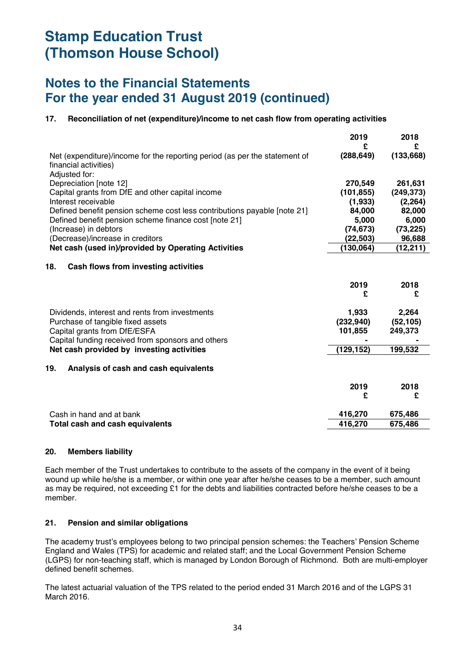### **Notes to the Financial Statements For the year ended 31 August 2019 (continued)**

### **17. Reconciliation of net (expenditure)/income to net cash flow from operating activities**

|                                                                                                                      | 2019<br>£  | 2018<br>£  |
|----------------------------------------------------------------------------------------------------------------------|------------|------------|
| Net (expenditure)/income for the reporting period (as per the statement of<br>financial activities)<br>Adjusted for: | (288, 649) | (133, 668) |
| Depreciation [note 12]                                                                                               | 270,549    | 261,631    |
| Capital grants from DfE and other capital income                                                                     | (101, 855) | (249, 373) |
| Interest receivable                                                                                                  | (1,933)    | (2, 264)   |
| Defined benefit pension scheme cost less contributions payable [note 21]                                             | 84,000     | 82,000     |
| Defined benefit pension scheme finance cost [note 21]                                                                | 5,000      | 6,000      |
| (Increase) in debtors                                                                                                | (74, 673)  | (73, 225)  |
| (Decrease)/increase in creditors                                                                                     | (22, 503)  | 96,688     |
| Net cash (used in)/provided by Operating Activities                                                                  | (130, 064) | (12, 211)  |
| 18.<br>Cash flows from investing activities                                                                          | 2019<br>£  | 2018<br>£  |
| Dividends, interest and rents from investments                                                                       | 1,933      | 2,264      |
| Purchase of tangible fixed assets                                                                                    | (232, 940) | (52, 105)  |
| Capital grants from DfE/ESFA                                                                                         | 101,855    | 249,373    |
| Capital funding received from sponsors and others                                                                    |            |            |
| Net cash provided by investing activities                                                                            | (129, 152) | 199,532    |
| 19.<br>Analysis of cash and cash equivalents                                                                         |            |            |
|                                                                                                                      | 2019       | 2018       |
|                                                                                                                      | £          | £          |
| Cash in hand and at bank                                                                                             | 416,270    | 675,486    |
| Total cash and cash equivalents                                                                                      | 416,270    | 675,486    |
|                                                                                                                      |            |            |

#### **20. Members liability**

Each member of the Trust undertakes to contribute to the assets of the company in the event of it being wound up while he/she is a member, or within one year after he/she ceases to be a member, such amount as may be required, not exceeding £1 for the debts and liabilities contracted before he/she ceases to be a member.

#### **21. Pension and similar obligations**

The academy trust's employees belong to two principal pension schemes: the Teachers' Pension Scheme England and Wales (TPS) for academic and related staff; and the Local Government Pension Scheme (LGPS) for non-teaching staff, which is managed by London Borough of Richmond. Both are multi-employer defined benefit schemes.

The latest actuarial valuation of the TPS related to the period ended 31 March 2016 and of the LGPS 31 March 2016.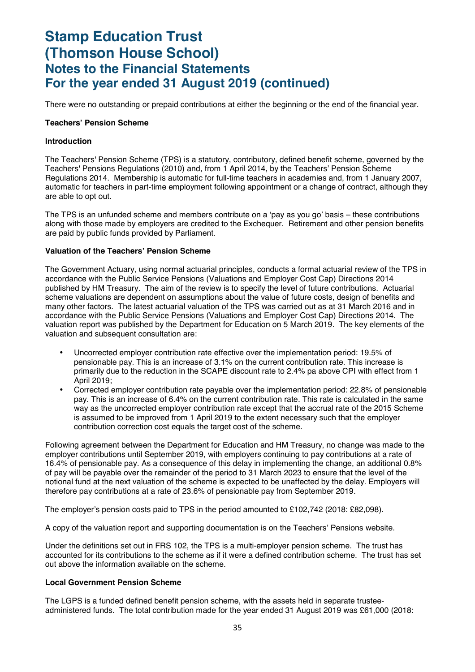There were no outstanding or prepaid contributions at either the beginning or the end of the financial year.

#### **Teachers' Pension Scheme**

#### **Introduction**

The Teachers' Pension Scheme (TPS) is a statutory, contributory, defined benefit scheme, governed by the Teachers' Pensions Regulations (2010) and, from 1 April 2014, by the Teachers' Pension Scheme Regulations 2014. Membership is automatic for full-time teachers in academies and, from 1 January 2007, automatic for teachers in part-time employment following appointment or a change of contract, although they are able to opt out.

The TPS is an unfunded scheme and members contribute on a 'pay as you go' basis – these contributions along with those made by employers are credited to the Exchequer. Retirement and other pension benefits are paid by public funds provided by Parliament.

#### **Valuation of the Teachers' Pension Scheme**

The Government Actuary, using normal actuarial principles, conducts a formal actuarial review of the TPS in accordance with the Public Service Pensions (Valuations and Employer Cost Cap) Directions 2014 published by HM Treasury. The aim of the review is to specify the level of future contributions. Actuarial scheme valuations are dependent on assumptions about the value of future costs, design of benefits and many other factors. The latest actuarial valuation of the TPS was carried out as at 31 March 2016 and in accordance with the Public Service Pensions (Valuations and Employer Cost Cap) Directions 2014. The valuation report was published by the Department for Education on 5 March 2019. The key elements of the valuation and subsequent consultation are:

- Uncorrected employer contribution rate effective over the implementation period: 19.5% of pensionable pay. This is an increase of 3.1% on the current contribution rate. This increase is primarily due to the reduction in the SCAPE discount rate to 2.4% pa above CPI with effect from 1 April 2019;
- Corrected employer contribution rate payable over the implementation period: 22.8% of pensionable pay. This is an increase of 6.4% on the current contribution rate. This rate is calculated in the same way as the uncorrected employer contribution rate except that the accrual rate of the 2015 Scheme is assumed to be improved from 1 April 2019 to the extent necessary such that the employer contribution correction cost equals the target cost of the scheme.

Following agreement between the Department for Education and HM Treasury, no change was made to the employer contributions until September 2019, with employers continuing to pay contributions at a rate of 16.4% of pensionable pay. As a consequence of this delay in implementing the change, an additional 0.8% of pay will be payable over the remainder of the period to 31 March 2023 to ensure that the level of the notional fund at the next valuation of the scheme is expected to be unaffected by the delay. Employers will therefore pay contributions at a rate of 23.6% of pensionable pay from September 2019.

The employer's pension costs paid to TPS in the period amounted to £102,742 (2018: £82,098).

A copy of the valuation report and supporting documentation is on the Teachers' Pensions website.

Under the definitions set out in FRS 102, the TPS is a multi-employer pension scheme. The trust has accounted for its contributions to the scheme as if it were a defined contribution scheme. The trust has set out above the information available on the scheme.

#### **Local Government Pension Scheme**

The LGPS is a funded defined benefit pension scheme, with the assets held in separate trusteeadministered funds. The total contribution made for the year ended 31 August 2019 was £61,000 (2018: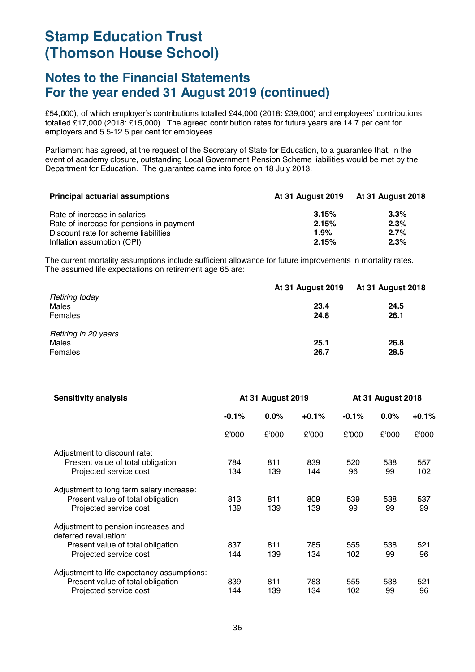### **Notes to the Financial Statements For the year ended 31 August 2019 (continued)**

£54,000), of which employer's contributions totalled £44,000 (2018: £39,000) and employees' contributions totalled £17,000 (2018: £15,000). The agreed contribution rates for future years are 14.7 per cent for employers and 5.5-12.5 per cent for employees.

Parliament has agreed, at the request of the Secretary of State for Education, to a guarantee that, in the event of academy closure, outstanding Local Government Pension Scheme liabilities would be met by the Department for Education. The guarantee came into force on 18 July 2013.

| <b>Principal actuarial assumptions</b>   | <b>At 31 August 2019</b> | At 31 August 2018 |  |
|------------------------------------------|--------------------------|-------------------|--|
| Rate of increase in salaries             | 3.15%                    | 3.3%              |  |
| Rate of increase for pensions in payment | 2.15%                    | 2.3%              |  |
| Discount rate for scheme liabilities     | 1.9%                     | 2.7%              |  |
| Inflation assumption (CPI)               | 2.15%                    | 2.3%              |  |

The current mortality assumptions include sufficient allowance for future improvements in mortality rates. The assumed life expectations on retirement age 65 are:

|                      | <b>At 31 August 2019</b> | <b>At 31 August 2018</b> |
|----------------------|--------------------------|--------------------------|
| Retiring today       |                          |                          |
| Males                | 23.4                     | 24.5                     |
| Females              | 24.8                     | 26.1                     |
| Retiring in 20 years |                          |                          |
| Males                | 25.1                     | 26.8                     |
| Females              | 26.7                     | 28.5                     |

| <b>Sensitivity analysis</b>                                  | <b>At 31 August 2019</b> |         | <b>At 31 August 2018</b> |         |         |         |
|--------------------------------------------------------------|--------------------------|---------|--------------------------|---------|---------|---------|
|                                                              | $-0.1%$                  | $0.0\%$ | $+0.1%$                  | $-0.1%$ | $0.0\%$ | $+0.1%$ |
|                                                              | £'000                    | £'000   | £'000                    | £'000   | £'000   | £'000   |
| Adjustment to discount rate:                                 |                          |         |                          |         |         |         |
| Present value of total obligation                            | 784                      | 811     | 839                      | 520     | 538     | 557     |
| Projected service cost                                       | 134                      | 139     | 144                      | 96      | 99      | 102     |
| Adjustment to long term salary increase:                     |                          |         |                          |         |         |         |
| Present value of total obligation                            | 813                      | 811     | 809                      | 539     | 538     | 537     |
| Projected service cost                                       | 139                      | 139     | 139                      | 99      | 99      | 99      |
| Adjustment to pension increases and<br>deferred revaluation: |                          |         |                          |         |         |         |
| Present value of total obligation                            | 837                      | 811     | 785                      | 555     | 538     | 521     |
| Projected service cost                                       | 144                      | 139     | 134                      | 102     | 99      | 96      |
| Adjustment to life expectancy assumptions:                   |                          |         |                          |         |         |         |
| Present value of total obligation                            | 839                      | 811     | 783                      | 555     | 538     | 521     |
| Projected service cost                                       | 144                      | 139     | 134                      | 102     | 99      | 96      |